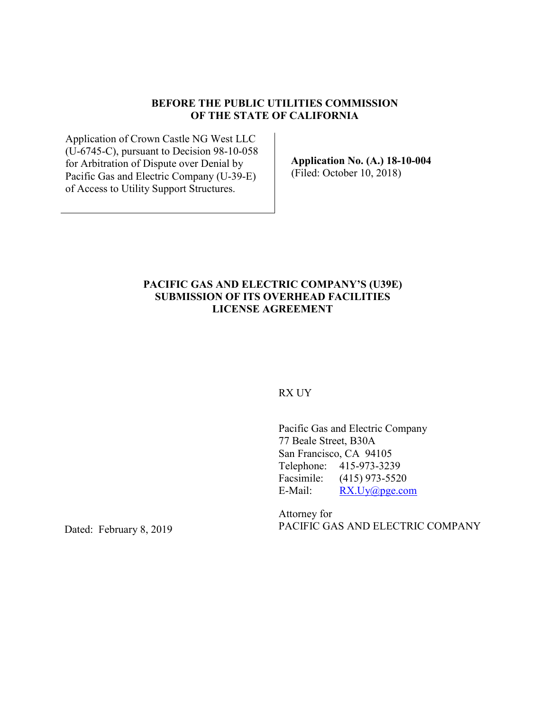#### **BEFORE THE PUBLIC UTILITIES COMMISSION OF THE STATE OF CALIFORNIA**

Application of Crown Castle NG West LLC (U-6745-C), pursuant to Decision 98-10-058 for Arbitration of Dispute over Denial by Pacific Gas and Electric Company (U-39-E) of Access to Utility Support Structures.

**Application No. (A.) 18-10-004**  (Filed: October 10, 2018)

## **PACIFIC GAS AND ELECTRIC COMPANY'S (U39E) SUBMISSION OF ITS OVERHEAD FACILITIES LICENSE AGREEMENT**

#### RX UY

Pacific Gas and Electric Company 77 Beale Street, B30A San Francisco, CA 94105 Telephone: 415-973-3239 Facsimile: (415) 973-5520 E-Mail: RX.Uy@pge.com

Attorney for PACIFIC GAS AND ELECTRIC COMPANY

Dated: February 8, 2019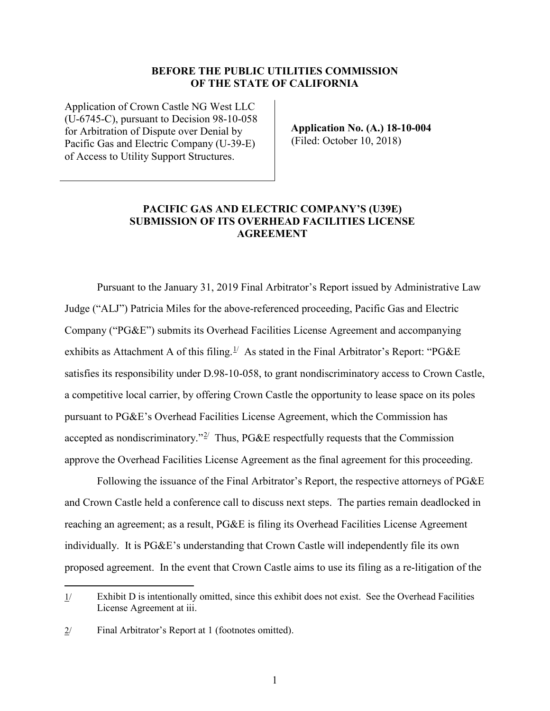#### **BEFORE THE PUBLIC UTILITIES COMMISSION OF THE STATE OF CALIFORNIA**

Application of Crown Castle NG West LLC (U-6745-C), pursuant to Decision 98-10-058 for Arbitration of Dispute over Denial by Pacific Gas and Electric Company (U-39-E) of Access to Utility Support Structures.

**Application No. (A.) 18-10-004**  (Filed: October 10, 2018)

#### **PACIFIC GAS AND ELECTRIC COMPANY'S (U39E) SUBMISSION OF ITS OVERHEAD FACILITIES LICENSE AGREEMENT**

Pursuant to the January 31, 2019 Final Arbitrator's Report issued by Administrative Law Judge ("ALJ") Patricia Miles for the above-referenced proceeding, Pacific Gas and Electric Company ("PG&E") submits its Overhead Facilities License Agreement and accompanying exhibits as Attachment A of this filing.<sup>[1/](#page-1-0)</sup> As stated in the Final Arbitrator's Report: "PG&E satisfies its responsibility under D.98-10-058, to grant nondiscriminatory access to Crown Castle, a competitive local carrier, by offering Crown Castle the opportunity to lease space on its poles pursuant to PG&E's Overhead Facilities License Agreement, which the Commission has accepted as nondiscriminatory."<sup>[2/](#page-1-1)</sup> Thus, PG&E respectfully requests that the Commission approve the Overhead Facilities License Agreement as the final agreement for this proceeding.

Following the issuance of the Final Arbitrator's Report, the respective attorneys of PG&E and Crown Castle held a conference call to discuss next steps. The parties remain deadlocked in reaching an agreement; as a result, PG&E is filing its Overhead Facilities License Agreement individually. It is PG&E's understanding that Crown Castle will independently file its own proposed agreement. In the event that Crown Castle aims to use its filing as a re-litigation of the

 $\overline{a}$ 

<span id="page-1-0"></span><sup>1/</sup> Exhibit D is intentionally omitted, since this exhibit does not exist. See the Overhead Facilities License Agreement at iii.

<span id="page-1-1"></span> $2$  Final Arbitrator's Report at 1 (footnotes omitted).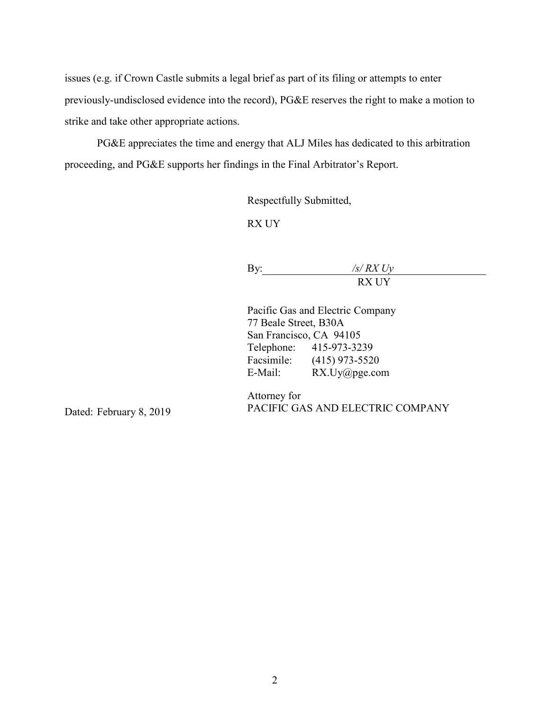issues (e.g. if Crown Castle submits a legal brief as part of its filing or attempts to enter previously-undisclosed evidence into the record), PG&E reserves the right to make a motion to strike and take other appropriate actions.

PG&E appreciates the time and energy that ALJ Miles has dedicated to this arbitration proceeding, and PG&E supports her findings in the Final Arbitrator's Report.

Respectfully Submitted,

RX UY

By: */s/ RX Uy* RX UY

Pacific Gas and Electric Company 77 Beale Street, B30A San Francisco, CA 94105 Telephone: 415-973-3239 Facsimile: (415) 973-5520 E-Mail: RX.Uy@pge.com

Attorney for PACIFIC GAS AND ELECTRIC COMPANY

Dated: February 8, 2019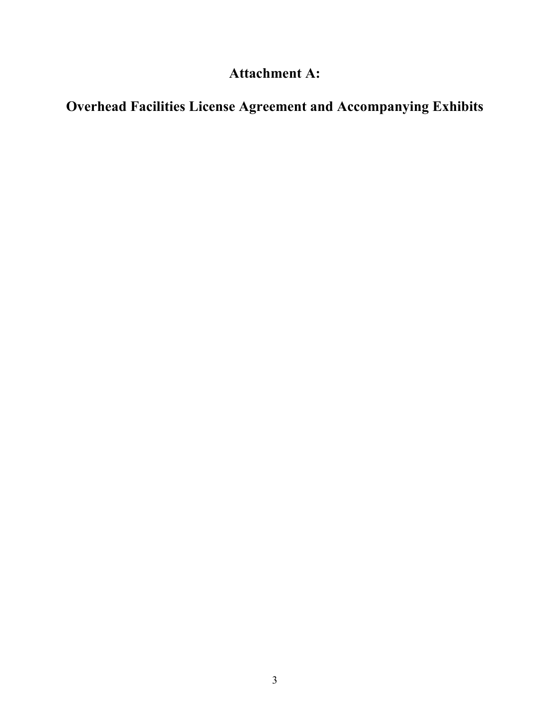## **Attachment A:**

## **Overhead Facilities License Agreement and Accompanying Exhibits**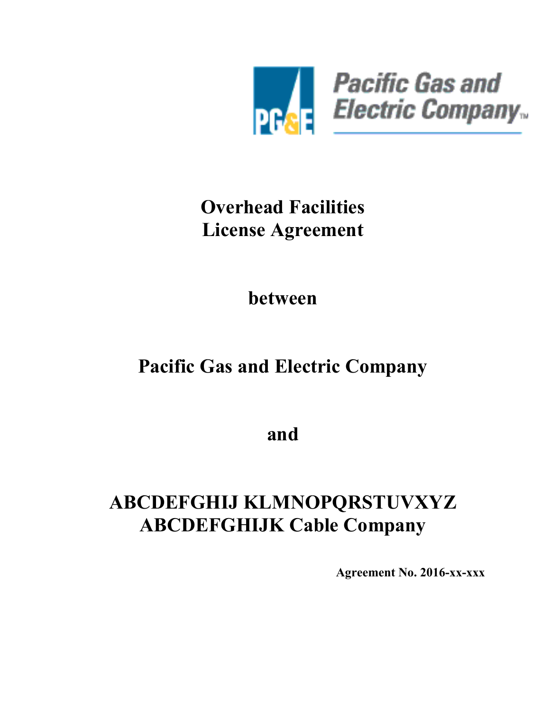

# **Overhead Facilities License Agreement**

**between** 

# **Pacific Gas and Electric Company**

**and** 

# <span id="page-4-0"></span>**[ABCDEFGHIJ KLMNOPQRSTUVXYZ](#page-8-0)  [ABCDEFGHIJK Cable Company](#page-8-0)**

**Agreement No. 2016-xx-xxx**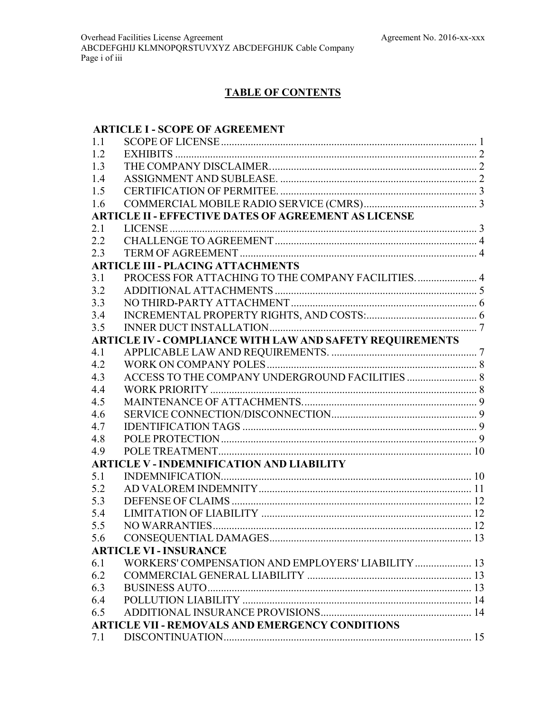## **TABLE OF CONTENTS**

## **ARTICLE I - [SCOPE OF AGREEMENT](#page-8-1)**

| 1.1 |                                                             |  |
|-----|-------------------------------------------------------------|--|
| 1.2 |                                                             |  |
| 1.3 |                                                             |  |
| 1.4 |                                                             |  |
| 1.5 |                                                             |  |
| 1.6 |                                                             |  |
|     | <b>ARTICLE II - EFFECTIVE DATES OF AGREEMENT AS LICENSE</b> |  |
| 2.1 |                                                             |  |
| 2.2 |                                                             |  |
| 2.3 |                                                             |  |
|     | <b>ARTICLE III - PLACING ATTACHMENTS</b>                    |  |
| 3.1 | PROCESS FOR ATTACHING TO THE COMPANY FACILITIES 4           |  |
| 3.2 |                                                             |  |
| 3.3 |                                                             |  |
| 3.4 |                                                             |  |
| 3.5 |                                                             |  |
|     | ARTICLE IV - COMPLIANCE WITH LAW AND SAFETY REQUIREMENTS    |  |
| 4.1 |                                                             |  |
| 4.2 |                                                             |  |
| 4.3 |                                                             |  |
| 4.4 |                                                             |  |
| 4.5 |                                                             |  |
| 4.6 |                                                             |  |
| 4.7 |                                                             |  |
| 4.8 |                                                             |  |
| 4.9 |                                                             |  |
|     | <b>ARTICLE V - INDEMNIFICATION AND LIABILITY</b>            |  |
| 5.1 |                                                             |  |
| 5.2 |                                                             |  |
| 5.3 |                                                             |  |
| 5.4 |                                                             |  |
| 5.5 |                                                             |  |
| 5.6 |                                                             |  |
|     | <b>ARTICLE VI - INSURANCE</b>                               |  |
| 6.1 | WORKERS' COMPENSATION AND EMPLOYERS' LIABILITY  13          |  |
| 6.2 |                                                             |  |
| 6.3 |                                                             |  |
| 6.4 |                                                             |  |
| 6.5 |                                                             |  |
|     | ARTICLE VII - REMOVALS AND EMERGENCY CONDITIONS             |  |
| 7.1 |                                                             |  |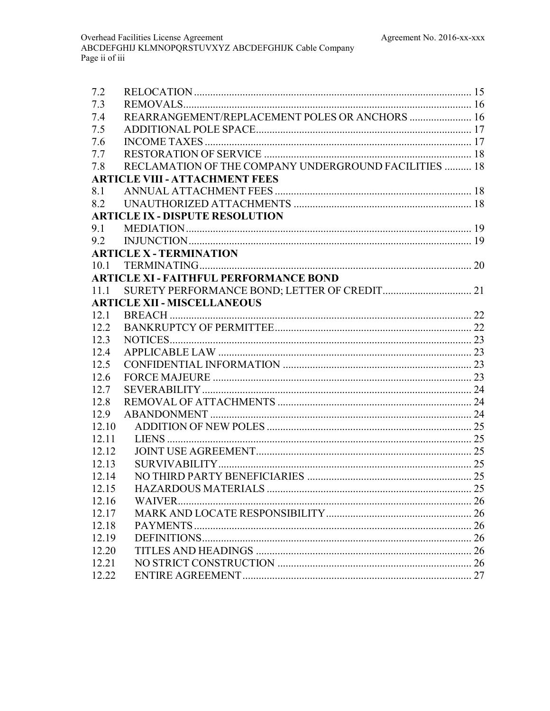| 7.3<br>REARRANGEMENT/REPLACEMENT POLES OR ANCHORS  16<br>7.4<br>7.5<br>7.6<br>7.7<br>RECLAMATION OF THE COMPANY UNDERGROUND FACILITIES  18<br>7.8<br><b>ARTICLE VIII - ATTACHMENT FEES</b><br>8.1<br>8.2 |
|----------------------------------------------------------------------------------------------------------------------------------------------------------------------------------------------------------|
|                                                                                                                                                                                                          |
|                                                                                                                                                                                                          |
|                                                                                                                                                                                                          |
|                                                                                                                                                                                                          |
|                                                                                                                                                                                                          |
|                                                                                                                                                                                                          |
|                                                                                                                                                                                                          |
|                                                                                                                                                                                                          |
|                                                                                                                                                                                                          |
| <b>ARTICLE IX - DISPUTE RESOLUTION</b>                                                                                                                                                                   |
| 9.1                                                                                                                                                                                                      |
| 9.2                                                                                                                                                                                                      |
| <b>ARTICLE X - TERMINATION</b>                                                                                                                                                                           |
|                                                                                                                                                                                                          |
| <b>ARTICLE XI - FAITHFUL PERFORMANCE BOND</b>                                                                                                                                                            |
| 11.1                                                                                                                                                                                                     |
| <b>ARTICLE XII - MISCELLANEOUS</b>                                                                                                                                                                       |
| 12.1                                                                                                                                                                                                     |
| 12.2                                                                                                                                                                                                     |
| 12.3                                                                                                                                                                                                     |
| 12.4                                                                                                                                                                                                     |
| 12.5                                                                                                                                                                                                     |
| 12.6                                                                                                                                                                                                     |
| 12.7                                                                                                                                                                                                     |
| 12.8                                                                                                                                                                                                     |
| 12.9                                                                                                                                                                                                     |
| 12.10                                                                                                                                                                                                    |
| 12 11                                                                                                                                                                                                    |
| 12.12                                                                                                                                                                                                    |
| 12.13                                                                                                                                                                                                    |
| 12.14                                                                                                                                                                                                    |
| 12.15                                                                                                                                                                                                    |
| 12.16                                                                                                                                                                                                    |
| 12.17                                                                                                                                                                                                    |
| 12.18                                                                                                                                                                                                    |
| 12.19                                                                                                                                                                                                    |
| 12.20                                                                                                                                                                                                    |
| 12.21                                                                                                                                                                                                    |
| 12.22                                                                                                                                                                                                    |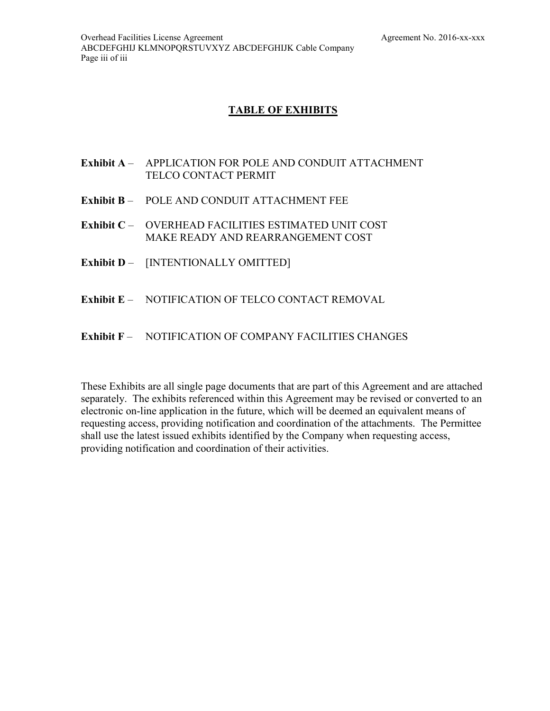## **TABLE OF EXHIBITS**

- <span id="page-7-0"></span>**Exhibit A** – APPLICATION FOR POLE AND CONDUIT ATTACHMENT TELCO CONTACT PERMIT
- <span id="page-7-4"></span>**Exhibit B** – POLE AND CONDUIT ATTACHMENT FEE
- <span id="page-7-1"></span>**Exhibit C** – OVERHEAD FACILITIES ESTIMATED UNIT COST MAKE READY AND REARRANGEMENT COST
- **Exhibit D** [INTENTIONALLY OMITTED]
- <span id="page-7-3"></span>**Exhibit E** – NOTIFICATION OF TELCO CONTACT REMOVAL
- <span id="page-7-2"></span>**Exhibit F** – NOTIFICATION OF COMPANY FACILITIES CHANGES

These Exhibits are all single page documents that are part of this Agreement and are attached separately. The exhibits referenced within this Agreement may be revised or converted to an electronic on-line application in the future, which will be deemed an equivalent means of requesting access, providing notification and coordination of the attachments. The Permittee shall use the latest issued exhibits identified by the Company when requesting access, providing notification and coordination of their activities.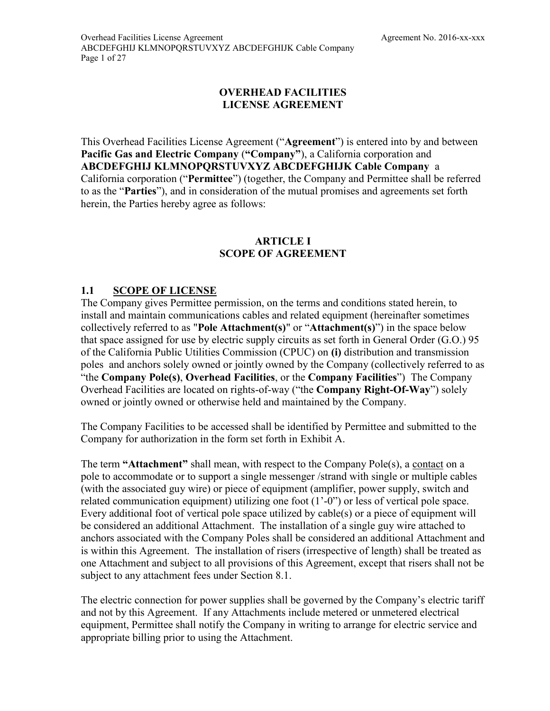## **OVERHEAD FACILITIES LICENSE AGREEMENT**

<span id="page-8-0"></span>This Overhead Facilities License Agreement ("**Agreement**") is entered into by and between **Pacific Gas and Electric Company** (**"Company"**), a California corporation and **ABCDEFGHIJ KLMNOPQRSTUVXYZ ABCDEFGHIJK Cable Company** a California corporation ("**Permittee**") (together, the Company and Permittee shall be referred to as the "**Parties**"), and in consideration of the mutual promises and agreements set forth herein, the Parties hereby agree as follows:

## **ARTICLE I SCOPE OF AGREEMENT**

## <span id="page-8-2"></span><span id="page-8-1"></span>**1.1 SCOPE OF LICENSE**

<span id="page-8-3"></span>The Company gives Permittee permission, on the terms and conditions stated herein, to install and maintain communications cables and related equipment (hereinafter sometimes collectively referred to as "**Pole Attachment(s)**" or "**Attachment(s)**") in the space below that space assigned for use by electric supply circuits as set forth in General Order (G.O.) 95 of the California Public Utilities Commission (CPUC) on **(i)** distribution and transmission poles and anchors solely owned or jointly owned by the Company (collectively referred to as "the **Company Pole(s)**, **Overhead Facilities**, or the **Company Facilities**") The Company Overhead Facilities are located on rights-of-way ("the **Company Right-Of-Way**") [solely](#page-8-3)  [owned or jointly owned](#page-8-3) or otherwise held and maintained by the Company.

The Company Facilities to be accessed shall be identified by Permittee and submitted to the Company for authorization in the form set forth in [Exhibit A.](#page-7-0)

The term **"Attachment"** shall mean, with respect to the Company Pole(s), a contact on a pole to accommodate or to support a single messenger /strand with single or multiple cables (with the associated guy wire) or piece of equipment (amplifier, power supply, switch and related communication equipment) utilizing one foot (1'-0") or less of vertical pole space. Every additional foot of vertical pole space utilized by cable(s) or a piece of equipment will be considered an additional Attachment. The installation of a single guy wire attached to anchors associated with the Company Poles shall be considered an additional Attachment and is within this Agreement. The installation of risers (irrespective of length) shall be treated as one Attachment and subject to all provisions of this Agreement, except that risers shall not be subject to any attachment fees under Section 8.1.

The electric connection for power supplies shall be governed by the Company's electric tariff and not by this Agreement. If any Attachments include metered or unmetered electrical equipment, Permittee shall notify the Company in writing to arrange for electric service and appropriate billing prior to using the Attachment.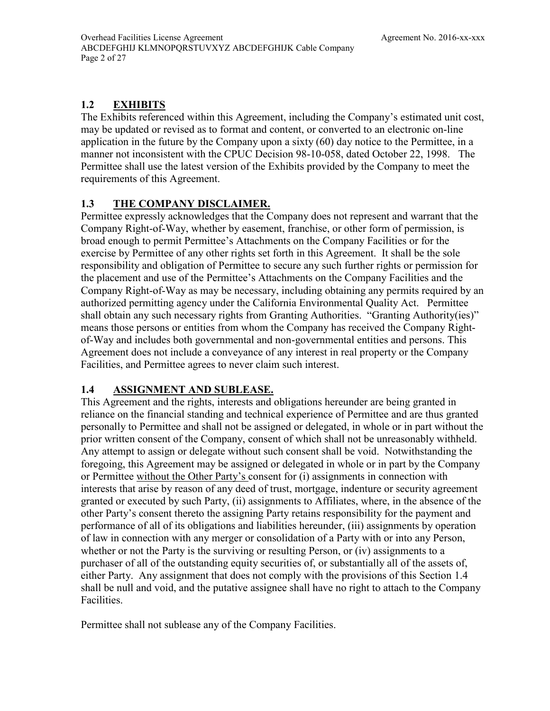## <span id="page-9-0"></span>**1.2 EXHIBITS**

The Exhibits referenced within this Agreement, including the Company's estimated unit cost, may be updated or revised as to format and content, or converted to an electronic on-line application in the future by the Company upon a sixty (60) day notice to the Permittee, in a manner not inconsistent with the CPUC Decision 98-10-058, dated October 22, 1998. The Permittee shall use the latest version of the Exhibits provided by the Company to meet the requirements of this Agreement.

## <span id="page-9-1"></span>**1.3 THE COMPANY DISCLAIMER.**

Permittee expressly acknowledges that the Company does not represent and warrant that the Company Right-of-Way, whether by easement, franchise, or other form of permission, is broad enough to permit Permittee's Attachments on the Company Facilities or for the exercise by Permittee of any other rights set forth in this Agreement. It shall be the sole responsibility and obligation of Permittee to secure any such further rights or permission for the placement and use of the Permittee's Attachments on the Company Facilities and the Company Right-of-Way as may be necessary, including obtaining any permits required by an authorized permitting agency under the California Environmental Quality Act. Permittee shall obtain any such necessary rights from Granting Authorities. "Granting Authority(ies)" means those persons or entities from whom the Company has received the Company Rightof-Way and includes both governmental and non-governmental entities and persons. This Agreement does not include a conveyance of any interest in real property or the Company Facilities, and Permittee agrees to never claim such interest.

## <span id="page-9-2"></span>**1.4 ASSIGNMENT AND SUBLEASE.**

This Agreement and the rights, interests and obligations hereunder are being granted in reliance on the financial standing and technical experience of Permittee and are thus granted personally to Permittee and shall not be assigned or delegated, in whole or in part without the prior written consent of the Company, consent of which shall not be unreasonably withheld. Any attempt to assign or delegate without such consent shall be void. Notwithstanding the foregoing, this Agreement may be assigned or delegated in whole or in part by the Company or Permittee without the Other Party's consent for (i) assignments in connection with interests that arise by reason of any deed of trust, mortgage, indenture or security agreement granted or executed by such Party, (ii) assignments to Affiliates, where, in the absence of the other Party's consent thereto the assigning Party retains responsibility for the payment and performance of all of its obligations and liabilities hereunder, (iii) assignments by operation of law in connection with any merger or consolidation of a Party with or into any Person, whether or not the Party is the surviving or resulting Person, or (iv) assignments to a purchaser of all of the outstanding equity securities of, or substantially all of the assets of, either Party. Any assignment that does not comply with the provisions of this Section [1.4](#page-9-2) shall be null and void, and the putative assignee shall have no right to attach to the Company Facilities.

Permittee shall not sublease any of the Company Facilities.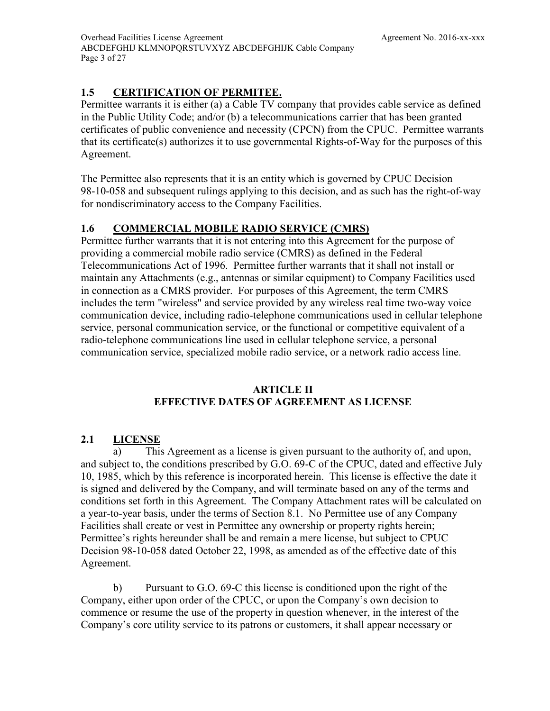## <span id="page-10-0"></span>**1.5 CERTIFICATION OF PERMITEE.**

Permittee warrants it is either (a) a Cable TV company that provides cable service as defined in the Public Utility Code; and/or (b) a telecommunications carrier that has been granted certificates of public convenience and necessity (CPCN) from the CPUC. Permittee warrants that its certificate(s) authorizes it to use governmental Rights-of-Way for the purposes of this Agreement.

The Permittee also represents that it is an entity which is governed by CPUC Decision 98-10-058 and subsequent rulings applying to this decision, and as such has the right-of-way for nondiscriminatory access to the Company Facilities.

## <span id="page-10-1"></span>**1.6 COMMERCIAL MOBILE RADIO SERVICE (CMRS)**

Permittee further warrants that it is not entering into this Agreement for the purpose of providing a commercial mobile radio service (CMRS) as defined in the Federal Telecommunications Act of 1996. Permittee further warrants that it shall not install or maintain any Attachments (e.g., antennas or similar equipment) to Company Facilities used in connection as a CMRS provider. For purposes of this Agreement, the term CMRS includes the term "wireless" and service provided by any wireless real time two-way voice communication device, including radio-telephone communications used in cellular telephone service, personal communication service, or the functional or competitive equivalent of a radio-telephone communications line used in cellular telephone service, a personal communication service, specialized mobile radio service, or a network radio access line.

## **ARTICLE II EFFECTIVE DATES OF AGREEMENT AS LICENSE**

## <span id="page-10-3"></span><span id="page-10-2"></span>**2.1 LICENSE**

a) This Agreement as a license is given pursuant to the authority of, and upon, and subject to, the conditions prescribed by G.O. 69-C of the CPUC, dated and effective July 10, 1985, which by this reference is incorporated herein. This license is effective the date it is signed and delivered by the Company, and will terminate based on any of the terms and conditions set forth in this Agreement. The Company Attachment rates will be calculated on a year-to-year basis, under the terms of Section [8.1.](#page-25-3) No Permittee use of any Company Facilities shall create or vest in Permittee any ownership or property rights herein; Permittee's rights hereunder shall be and remain a mere license, but subject to CPUC Decision 98-10-058 dated October 22, 1998, as amended as of the effective date of this Agreement.

b) Pursuant to G.O. 69-C this license is conditioned upon the right of the Company, either upon order of the CPUC, or upon the Company's own decision to commence or resume the use of the property in question whenever, in the interest of the Company's core utility service to its patrons or customers, it shall appear necessary or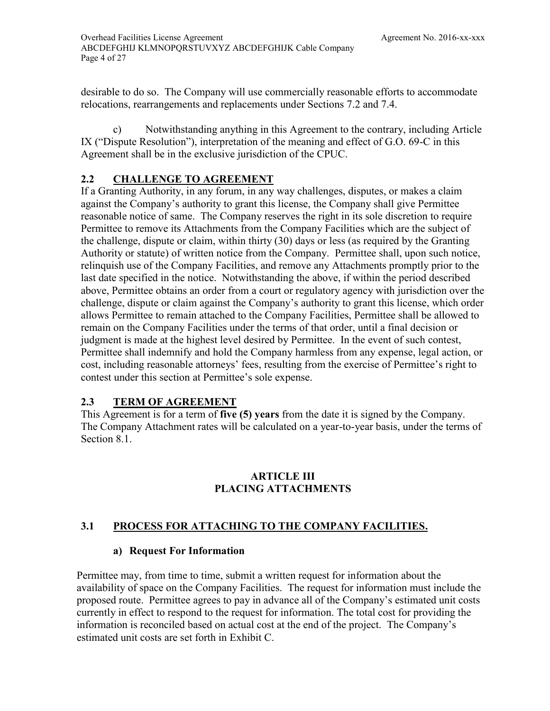desirable to do so. The Company will use commercially reasonable efforts to accommodate relocations, rearrangements and replacements under Sections [7.2](#page-22-2) and [7.4.](#page-23-1)

c) Notwithstanding anything in this Agreement to the contrary, including Article IX ("Dispute Resolution"), interpretation of the meaning and effect of G.O. 69-C in this Agreement shall be in the exclusive jurisdiction of the CPUC.

## <span id="page-11-0"></span>**2.2 CHALLENGE TO AGREEMENT**

<span id="page-11-4"></span>If a Granting Authority, in any forum, in any way challenges, disputes, or makes a claim against the Company's authority to grant this license, the Company shall give Permittee reasonable notice of same. The Company reserves the right in its sole discretion to require Permittee to remove its Attachments from the Company Facilities which are the subject of the challenge, dispute or claim, within thirty (30) days or less (as required by the Granting Authority or statute) of written notice from the Company. Permittee shall, upon such notice, relinquish use of the Company Facilities, and remove any Attachments promptly prior to the last date specified in the notice. Notwithstanding the above, if within the period described above, Permittee obtains an order from a court or regulatory agency with jurisdiction over the challenge, dispute or claim against the Company's authority to grant this license, which order allows Permittee to remain attached to the Company Facilities, Permittee shall be allowed to remain on the Company Facilities under the terms of that order, until a final decision or judgment is made at the highest level desired by Permittee. In the event of such contest, Permittee shall indemnify and hold the Company harmless from any expense, legal action, or cost, including reasonable attorneys' fees, resulting from the exercise of Permittee's right to contest under this section at Permittee's sole expense.

## <span id="page-11-1"></span>**2.3 TERM OF AGREEMENT**

This Agreement is for a term of **five (5) years** from the date it is signed by the Company. The Company Attachment rates will be calculated on a year-to-year basis, under the terms of Section [8.1.](#page-25-3)

## **ARTICLE III PLACING ATTACHMENTS**

## <span id="page-11-3"></span><span id="page-11-2"></span>**3.1 PROCESS FOR ATTACHING TO THE COMPANY FACILITIES.**

## **a) Request For Information**

Permittee may, from time to time, submit a written request for information about the availability of space on the Company Facilities. The request for information must include the proposed route. Permittee agrees to pay in advance all of the Company's estimated unit costs currently in effect to respond to the request for information. The total cost for providing the information is reconciled based on actual cost at the end of the project. The Company's estimated unit costs are set forth in [Exhibit C.](#page-7-1)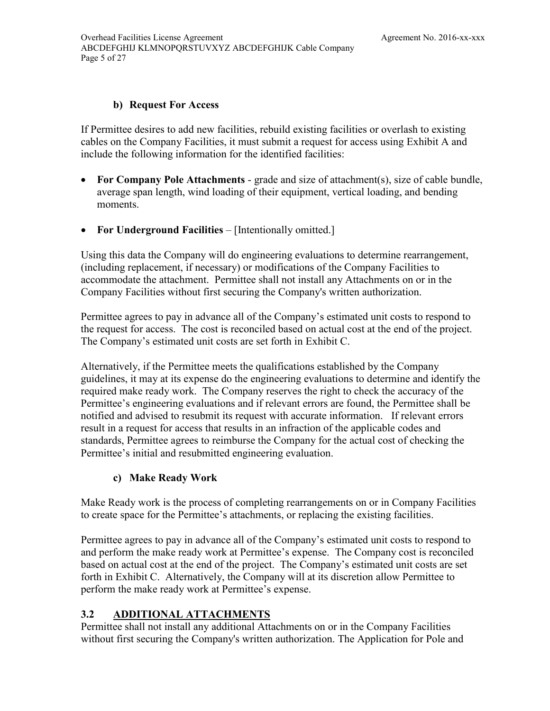### **b) Request For Access**

If Permittee desires to add new facilities, rebuild existing facilities or overlash to existing cables on the Company Facilities, it must submit a request for access using [Exhibit A](#page-7-0) and include the following information for the identified facilities:

- **For Company Pole Attachments** grade and size of attachment(s), size of cable bundle, average span length, wind loading of their equipment, vertical loading, and bending moments.
- **For Underground Facilities** [Intentionally omitted.]

Using this data the Company will do engineering evaluations to determine rearrangement, (including replacement, if necessary) or modifications of the Company Facilities to accommodate the attachment. Permittee shall not install any Attachments on or in the Company Facilities without first securing the Company's written authorization.

Permittee agrees to pay in advance all of the Company's estimated unit costs to respond to the request for access. The cost is reconciled based on actual cost at the end of the project. The Company's estimated unit costs are set forth in [Exhibit C.](#page-7-1)

Alternatively, if the Permittee meets the qualifications established by the Company guidelines, it may at its expense do the engineering evaluations to determine and identify the required make ready work. The Company reserves the right to check the accuracy of the Permittee's engineering evaluations and if relevant errors are found, the Permittee shall be notified and advised to resubmit its request with accurate information. If relevant errors result in a request for access that results in an infraction of the applicable codes and standards, Permittee agrees to reimburse the Company for the actual cost of checking the Permittee's initial and resubmitted engineering evaluation.

## **c) Make Ready Work**

Make Ready work is the process of completing rearrangements on or in Company Facilities to create space for the Permittee's attachments, or replacing the existing facilities.

Permittee agrees to pay in advance all of the Company's estimated unit costs to respond to and perform the make ready work at Permittee's expense. The Company cost is reconciled based on actual cost at the end of the project. The Company's estimated unit costs are set forth in [Exhibit C.](#page-7-1) Alternatively, the Company will at its discretion allow Permittee to perform the make ready work at Permittee's expense.

## <span id="page-12-0"></span>**3.2 ADDITIONAL ATTACHMENTS**

Permittee shall not install any additional Attachments on or in the Company Facilities without first securing the Company's written authorization. The Application for Pole and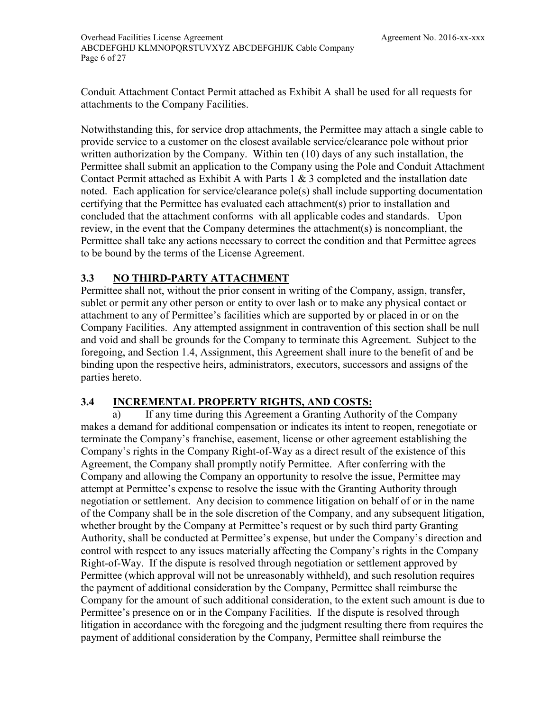Overhead Facilities License Agreement [Agreement No. 2016-xx-xxx](#page-4-0) [ABCDEFGHIJ KLMNOPQRSTUVXYZ ABCDEFGHIJK Cable Company](#page-8-0)  Page 6 of [27](#page-34-1)

Conduit Attachment Contact Permit attached as [Exhibit A](#page-7-0) shall be used for all requests for attachments to the Company Facilities.

Notwithstanding this, for service drop attachments, the Permittee may attach a single cable to provide service to a customer on the closest available service/clearance pole without prior written authorization by the Company. Within ten (10) days of any such installation, the Permittee shall submit an application to the Company using the Pole and Conduit Attachment Contact Permit attached as [Exhibit A](#page-7-0) with Parts 1 & 3 completed and the installation date noted. Each application for service/clearance pole(s) shall include supporting documentation certifying that the Permittee has evaluated each attachment(s) prior to installation and concluded that the attachment conforms with all applicable codes and standards. Upon review, in the event that the Company determines the attachment(s) is noncompliant, the Permittee shall take any actions necessary to correct the condition and that Permittee agrees to be bound by the terms of the License Agreement.

## <span id="page-13-0"></span>**3.3 NO THIRD-PARTY ATTACHMENT**

Permittee shall not, without the prior consent in writing of the Company, assign, transfer, sublet or permit any other person or entity to over lash or to make any physical contact or attachment to any of Permittee's facilities which are supported by or placed in or on the Company Facilities. Any attempted assignment in contravention of this section shall be null and void and shall be grounds for the Company to terminate this Agreement. Subject to the foregoing, and Section [1.4,](#page-9-2) Assignment, this Agreement shall inure to the benefit of and be binding upon the respective heirs, administrators, executors, successors and assigns of the parties hereto.

## <span id="page-13-1"></span>**3.4 INCREMENTAL PROPERTY RIGHTS, AND COSTS:**

a) If any time during this Agreement a Granting Authority of the Company makes a demand for additional compensation or indicates its intent to reopen, renegotiate or terminate the Company's franchise, easement, license or other agreement establishing the Company's rights in the Company Right-of-Way as a direct result of the existence of this Agreement, the Company shall promptly notify Permittee. After conferring with the Company and allowing the Company an opportunity to resolve the issue, Permittee may attempt at Permittee's expense to resolve the issue with the Granting Authority through negotiation or settlement. Any decision to commence litigation on behalf of or in the name of the Company shall be in the sole discretion of the Company, and any subsequent litigation, whether brought by the Company at Permittee's request or by such third party Granting Authority, shall be conducted at Permittee's expense, but under the Company's direction and control with respect to any issues materially affecting the Company's rights in the Company Right-of-Way. If the dispute is resolved through negotiation or settlement approved by Permittee (which approval will not be unreasonably withheld), and such resolution requires the payment of additional consideration by the Company, Permittee shall reimburse the Company for the amount of such additional consideration, to the extent such amount is due to Permittee's presence on or in the Company Facilities. If the dispute is resolved through litigation in accordance with the foregoing and the judgment resulting there from requires the payment of additional consideration by the Company, Permittee shall reimburse the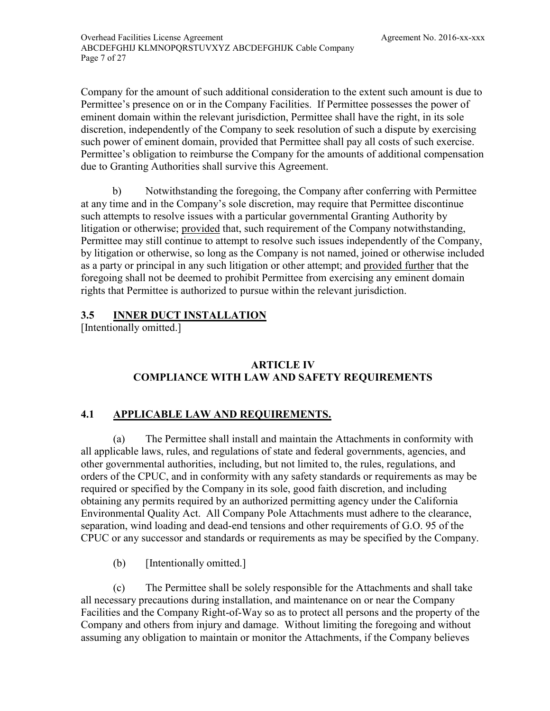Company for the amount of such additional consideration to the extent such amount is due to Permittee's presence on or in the Company Facilities. If Permittee possesses the power of eminent domain within the relevant jurisdiction, Permittee shall have the right, in its sole discretion, independently of the Company to seek resolution of such a dispute by exercising such power of eminent domain, provided that Permittee shall pay all costs of such exercise. Permittee's obligation to reimburse the Company for the amounts of additional compensation due to Granting Authorities shall survive this Agreement.

b) Notwithstanding the foregoing, the Company after conferring with Permittee at any time and in the Company's sole discretion, may require that Permittee discontinue such attempts to resolve issues with a particular governmental Granting Authority by litigation or otherwise; provided that, such requirement of the Company notwithstanding, Permittee may still continue to attempt to resolve such issues independently of the Company, by litigation or otherwise, so long as the Company is not named, joined or otherwise included as a party or principal in any such litigation or other attempt; and provided further that the foregoing shall not be deemed to prohibit Permittee from exercising any eminent domain rights that Permittee is authorized to pursue within the relevant jurisdiction.

## <span id="page-14-0"></span>**3.5 INNER DUCT INSTALLATION**

[Intentionally omitted.]

## **ARTICLE IV COMPLIANCE WITH LAW AND SAFETY REQUIREMENTS**

## <span id="page-14-2"></span><span id="page-14-1"></span>**4.1 APPLICABLE LAW AND REQUIREMENTS.**

(a) The Permittee shall install and maintain the Attachments in conformity with all applicable laws, rules, and regulations of state and federal governments, agencies, and other governmental authorities, including, but not limited to, the rules, regulations, and orders of the CPUC, and in conformity with any safety standards or requirements as may be required or specified by the Company in its sole, good faith discretion, and including obtaining any permits required by an authorized permitting agency under the California Environmental Quality Act. All Company Pole Attachments must adhere to the clearance, separation, wind loading and dead-end tensions and other requirements of G.O. 95 of the CPUC or any successor and standards or requirements as may be specified by the Company.

(b) [Intentionally omitted.]

(c) The Permittee shall be solely responsible for the Attachments and shall take all necessary precautions during installation, and maintenance on or near the Company Facilities and the Company Right-of-Way so as to protect all persons and the property of the Company and others from injury and damage. Without limiting the foregoing and without assuming any obligation to maintain or monitor the Attachments, if the Company believes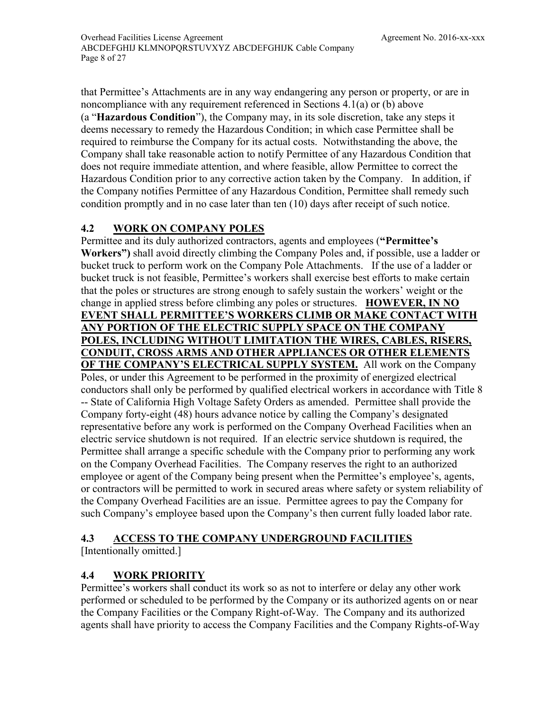that Permittee's Attachments are in any way endangering any person or property, or are in noncompliance with any requirement referenced in Sections [4.1\(](#page-14-2)a) or (b) above (a "**Hazardous Condition**"), the Company may, in its sole discretion, take any steps it deems necessary to remedy the Hazardous Condition; in which case Permittee shall be required to reimburse the Company for its actual costs. Notwithstanding the above, the Company shall take reasonable action to notify Permittee of any Hazardous Condition that does not require immediate attention, and where feasible, allow Permittee to correct the Hazardous Condition prior to any corrective action taken by the Company. In addition, if the Company notifies Permittee of any Hazardous Condition, Permittee shall remedy such condition promptly and in no case later than ten (10) days after receipt of such notice.

## <span id="page-15-0"></span>**4.2 WORK ON COMPANY POLES**

Permittee and its duly authorized contractors, agents and employees (**"Permittee's Workers")** shall avoid directly climbing the Company Poles and, if possible, use a ladder or bucket truck to perform work on the Company Pole Attachments. If the use of a ladder or bucket truck is not feasible, Permittee's workers shall exercise best efforts to make certain that the poles or structures are strong enough to safely sustain the workers' weight or the change in applied stress before climbing any poles or structures. **HOWEVER, IN NO EVENT SHALL PERMITTEE'S WORKERS CLIMB OR MAKE CONTACT WITH ANY PORTION OF THE ELECTRIC SUPPLY SPACE ON THE COMPANY POLES, INCLUDING WITHOUT LIMITATION THE WIRES, CABLES, RISERS, CONDUIT, CROSS ARMS AND OTHER APPLIANCES OR OTHER ELEMENTS OF THE COMPANY'S ELECTRICAL SUPPLY SYSTEM.** All work on the Company Poles, or under this Agreement to be performed in the proximity of energized electrical conductors shall only be performed by qualified electrical workers in accordance with Title 8 -- State of California High Voltage Safety Orders as amended.Permittee shall provide the Company forty-eight (48) hours advance notice by calling the Company's designated representative before any work is performed on the Company Overhead Facilities when an electric service shutdown is not required. If an electric service shutdown is required, the Permittee shall arrange a specific schedule with the Company prior to performing any work on the Company Overhead Facilities. The Company reserves the right to an authorized employee or agent of the Company being present when the Permittee's employee's, agents, or contractors will be permitted to work in secured areas where safety or system reliability of the Company Overhead Facilities are an issue. Permittee agrees to pay the Company for such Company's employee based upon the Company's then current fully loaded labor rate.

## <span id="page-15-3"></span><span id="page-15-1"></span>**4.3 ACCESS TO THE COMPANY UNDERGROUND FACILITIES**

[Intentionally omitted.]

## <span id="page-15-2"></span>**4.4 WORK PRIORITY**

Permittee's workers shall conduct its work so as not to interfere or delay any other work performed or scheduled to be performed by the Company or its authorized agents on or near the Company Facilities or the Company Right-of-Way. The Company and its authorized agents shall have priority to access the Company Facilities and the Company Rights-of-Way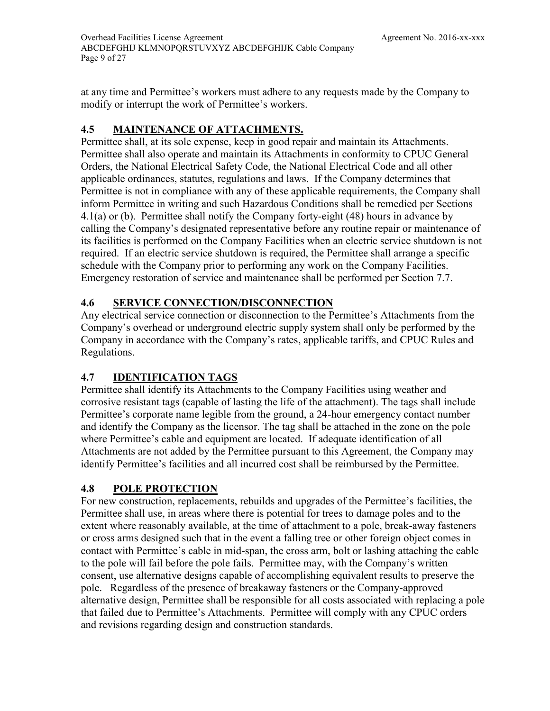at any time and Permittee's workers must adhere to any requests made by the Company to modify or interrupt the work of Permittee's workers.

## <span id="page-16-0"></span>**4.5 MAINTENANCE OF ATTACHMENTS.**

Permittee shall, at its sole expense, keep in good repair and maintain its Attachments. Permittee shall also operate and maintain its Attachments in conformity to CPUC General Orders, the National Electrical Safety Code, the National Electrical Code and all other applicable ordinances, statutes, regulations and laws. If the Company determines that Permittee is not in compliance with any of these applicable requirements, the Company shall inform Permittee in writing and such Hazardous Conditions shall be remedied per Sections [4.1\(](#page-14-2)a) or (b). Permittee shall notify the Company [forty-eight \(48\) hours](#page-15-3) in advance by calling the Company's designated representative before any routine repair or maintenance of its facilities is performed on the Company Facilities when an electric service shutdown is not required. If an electric service shutdown is required, the Permittee shall arrange a specific schedule with the Company prior to performing any work on the Company Facilities. Emergency restoration of service and maintenance shall be performed per Section [7.7.](#page-25-0)

## <span id="page-16-1"></span>**4.6 SERVICE CONNECTION/DISCONNECTION**

Any electrical service connection or disconnection to the Permittee's Attachments from the Company's overhead or underground electric supply system shall only be performed by the Company in accordance with the Company's rates, applicable tariffs, and CPUC Rules and Regulations.

## <span id="page-16-2"></span>**4.7 IDENTIFICATION TAGS**

Permittee shall identify its Attachments to the Company Facilities using weather and corrosive resistant tags (capable of lasting the life of the attachment). The tags shall include Permittee's corporate name legible from the ground, a 24-hour emergency contact number and identify the Company as the licensor. The tag shall be attached in the zone on the pole where Permittee's cable and equipment are located. If adequate identification of all Attachments are not added by the Permittee pursuant to this Agreement, the Company may identify Permittee's facilities and all incurred cost shall be reimbursed by the Permittee.

## <span id="page-16-3"></span>**4.8 POLE PROTECTION**

For new construction, replacements, rebuilds and upgrades of the Permittee's facilities, the Permittee shall use, in areas where there is potential for trees to damage poles and to the extent where reasonably available, at the time of attachment to a pole, break-away fasteners or cross arms designed such that in the event a falling tree or other foreign object comes in contact with Permittee's cable in mid-span, the cross arm, bolt or lashing attaching the cable to the pole will fail before the pole fails. Permittee may, with the Company's written consent, use alternative designs capable of accomplishing equivalent results to preserve the pole. Regardless of the presence of breakaway fasteners or the Company-approved alternative design, Permittee shall be responsible for all costs associated with replacing a pole that failed due to Permittee's Attachments. Permittee will comply with any CPUC orders and revisions regarding design and construction standards.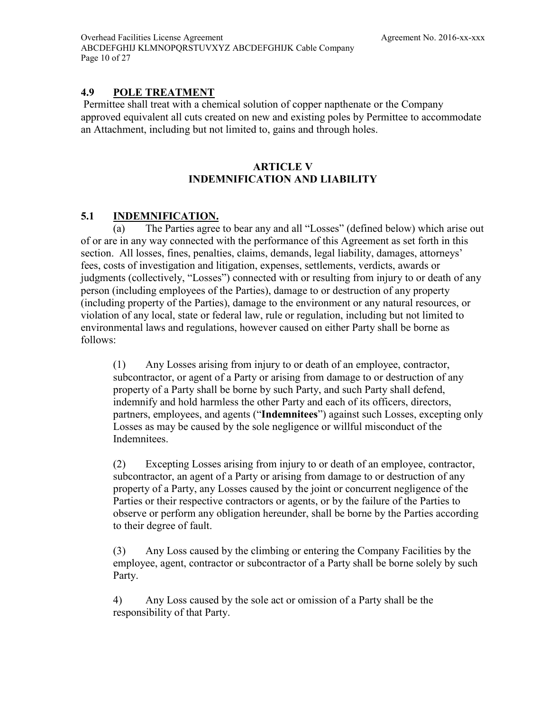## <span id="page-17-0"></span>**4.9 POLE TREATMENT**

Permittee shall treat with a chemical solution of copper napthenate or the Company approved equivalent all cuts created on new and existing poles by Permittee to accommodate an Attachment, including but not limited to, gains and through holes.

## **ARTICLE V INDEMNIFICATION AND LIABILITY**

## <span id="page-17-2"></span><span id="page-17-1"></span>**5.1 INDEMNIFICATION.**

(a) The Parties agree to bear any and all "Losses" (defined below) which arise out of or are in any way connected with the performance of this Agreement as set forth in this section. All losses, fines, penalties, claims, demands, legal liability, damages, attorneys' fees, costs of investigation and litigation, expenses, settlements, verdicts, awards or judgments (collectively, "Losses") connected with or resulting from injury to or death of any person (including employees of the Parties), damage to or destruction of any property (including property of the Parties), damage to the environment or any natural resources, or violation of any local, state or federal law, rule or regulation, including but not limited to environmental laws and regulations, however caused on either Party shall be borne as follows:

(1) Any Losses arising from injury to or death of an employee, contractor, subcontractor, or agent of a Party or arising from damage to or destruction of any property of a Party shall be borne by such Party, and such Party shall defend, indemnify and hold harmless the other Party and each of its officers, directors, partners, employees, and agents ("**Indemnitees**") against such Losses, excepting only Losses as may be caused by the sole negligence or willful misconduct of the Indemnitees.

(2) Excepting Losses arising from injury to or death of an employee, contractor, subcontractor, an agent of a Party or arising from damage to or destruction of any property of a Party, any Losses caused by the joint or concurrent negligence of the Parties or their respective contractors or agents, or by the failure of the Parties to observe or perform any obligation hereunder, shall be borne by the Parties according to their degree of fault.

(3) Any Loss caused by the climbing or entering the Company Facilities by the employee, agent, contractor or subcontractor of a Party shall be borne solely by such Party.

4) Any Loss caused by the sole act or omission of a Party shall be the responsibility of that Party.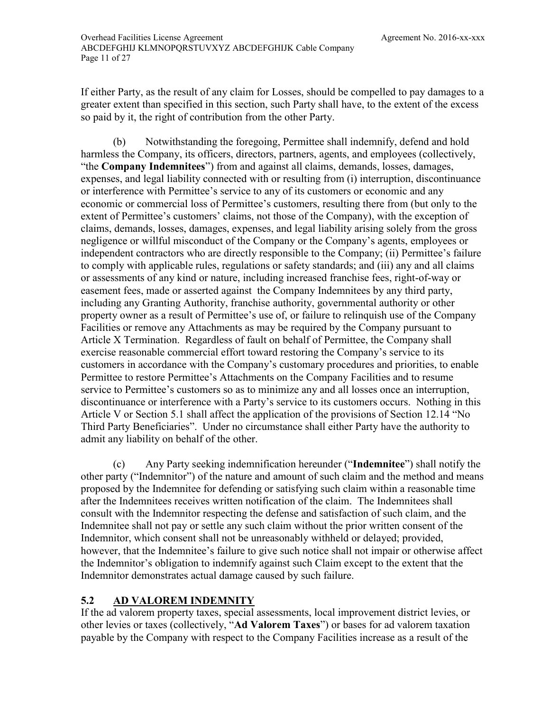If either Party, as the result of any claim for Losses, should be compelled to pay damages to a greater extent than specified in this section, such Party shall have, to the extent of the excess so paid by it, the right of contribution from the other Party.

(b) Notwithstanding the foregoing, Permittee shall indemnify, defend and hold harmless the Company, its officers, directors, partners, agents, and employees (collectively, "the **Company Indemnitees**") from and against all claims, demands, losses, damages, expenses, and legal liability connected with or resulting from (i) interruption, discontinuance or interference with Permittee's service to any of its customers or economic and any economic or commercial loss of Permittee's customers, resulting there from (but only to the extent of Permittee's customers' claims, not those of the Company), with the exception of claims, demands, losses, damages, expenses, and legal liability arising solely from the gross negligence or willful misconduct of the Company or the Company's agents, employees or independent contractors who are directly responsible to the Company; (ii) Permittee's failure to comply with applicable rules, regulations or safety standards; and (iii) any and all claims or assessments of any kind or nature, including increased franchise fees, right-of-way or easement fees, made or asserted against the Company Indemnitees by any third party, including any Granting Authority, franchise authority, governmental authority or other property owner as a result of Permittee's use of, or failure to relinquish use of the Company Facilities or remove any Attachments as may be required by the Company pursuant to Article X Termination. Regardless of fault on behalf of Permittee, the Company shall exercise reasonable commercial effort toward restoring the Company's service to its customers in accordance with the Company's customary procedures and priorities, to enable Permittee to restore Permittee's Attachments on the Company Facilities and to resume service to Permittee's customers so as to minimize any and all losses once an interruption, discontinuance or interference with a Party's service to its customers occurs. Nothing in this Article V or Section [5.1](#page-17-2) shall affect the application of the provisions of Section [12.14](#page-32-4) "No Third Party Beneficiaries". Under no circumstance shall either Party have the authority to admit any liability on behalf of the other.

(c) Any Party seeking indemnification hereunder ("**Indemnitee**") shall notify the other party ("Indemnitor") of the nature and amount of such claim and the method and means proposed by the Indemnitee for defending or satisfying such claim within a reasonable time after the Indemnitees receives written notification of the claim. The Indemnitees shall consult with the Indemnitor respecting the defense and satisfaction of such claim, and the Indemnitee shall not pay or settle any such claim without the prior written consent of the Indemnitor, which consent shall not be unreasonably withheld or delayed; provided, however, that the Indemnitee's failure to give such notice shall not impair or otherwise affect the Indemnitor's obligation to indemnify against such Claim except to the extent that the Indemnitor demonstrates actual damage caused by such failure.

## <span id="page-18-0"></span>**5.2 AD VALOREM INDEMNITY**

If the ad valorem property taxes, special assessments, local improvement district levies, or other levies or taxes (collectively, "**Ad Valorem Taxes**") or bases for ad valorem taxation payable by the Company with respect to the Company Facilities increase as a result of the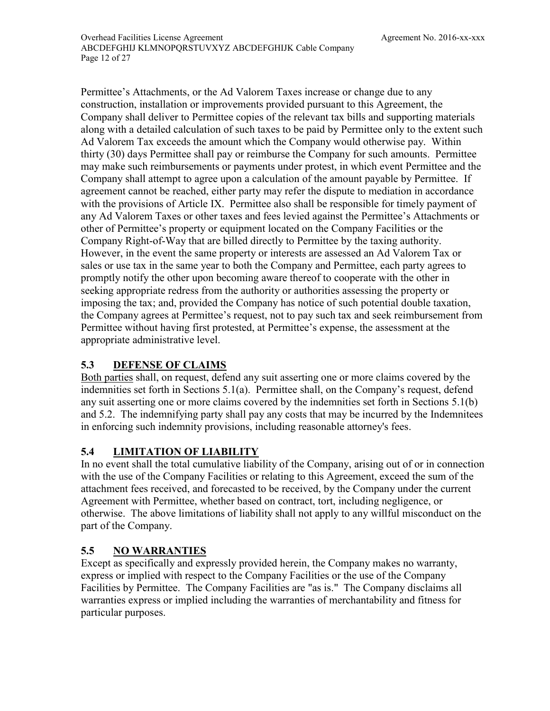Permittee's Attachments, or the Ad Valorem Taxes increase or change due to any construction, installation or improvements provided pursuant to this Agreement, the Company shall deliver to Permittee copies of the relevant tax bills and supporting materials along with a detailed calculation of such taxes to be paid by Permittee only to the extent such Ad Valorem Tax exceeds the amount which the Company would otherwise pay. Within thirty (30) days Permittee shall pay or reimburse the Company for such amounts. Permittee may make such reimbursements or payments under protest, in which event Permittee and the Company shall attempt to agree upon a calculation of the amount payable by Permittee. If agreement cannot be reached, either party may refer the dispute to mediation in accordance with the provisions of Article IX. Permittee also shall be responsible for timely payment of any Ad Valorem Taxes or other taxes and fees levied against the Permittee's Attachments or other of Permittee's property or equipment located on the Company Facilities or the Company Right-of-Way that are billed directly to Permittee by the taxing authority. However, in the event the same property or interests are assessed an Ad Valorem Tax or sales or use tax in the same year to both the Company and Permittee, each party agrees to promptly notify the other upon becoming aware thereof to cooperate with the other in seeking appropriate redress from the authority or authorities assessing the property or imposing the tax; and, provided the Company has notice of such potential double taxation, the Company agrees at Permittee's request, not to pay such tax and seek reimbursement from Permittee without having first protested, at Permittee's expense, the assessment at the appropriate administrative level.

## <span id="page-19-0"></span>**5.3 DEFENSE OF CLAIMS**

Both parties shall, on request, defend any suit asserting one or more claims covered by the indemnities set forth in Sections [5.1\(](#page-17-2)a). Permittee shall, on the Company's request, defend any suit asserting one or more claims covered by the indemnities set forth in Sections [5.1\(](#page-17-2)b) and [5.2.](#page-18-0) The indemnifying party shall pay any costs that may be incurred by the Indemnitees in enforcing such indemnity provisions, including reasonable attorney's fees.

## <span id="page-19-1"></span>**5.4 LIMITATION OF LIABILITY**

In no event shall the total cumulative liability of the Company, arising out of or in connection with the use of the Company Facilities or relating to this Agreement, exceed the sum of the attachment fees received, and forecasted to be received, by the Company under the current Agreement with Permittee, whether based on contract, tort, including negligence, or otherwise. The above limitations of liability shall not apply to any willful misconduct on the part of the Company.

## <span id="page-19-2"></span>**5.5 NO WARRANTIES**

Except as specifically and expressly provided herein, the Company makes no warranty, express or implied with respect to the Company Facilities or the use of the Company Facilities by Permittee. The Company Facilities are "as is." The Company disclaims all warranties express or implied including the warranties of merchantability and fitness for particular purposes.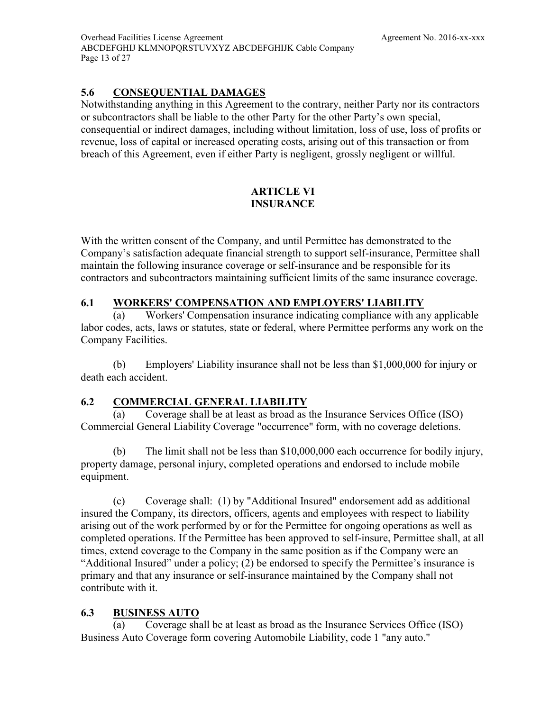Overhead Facilities License Agreement [Agreement No. 2016-xx-xxx](#page-4-0) [ABCDEFGHIJ KLMNOPQRSTUVXYZ ABCDEFGHIJK Cable Company](#page-8-0)  Page 13 of [27](#page-34-1)

## <span id="page-20-0"></span>**5.6 CONSEQUENTIAL DAMAGES**

Notwithstanding anything in this Agreement to the contrary, neither Party nor its contractors or subcontractors shall be liable to the other Party for the other Party's own special, consequential or indirect damages, including without limitation, loss of use, loss of profits or revenue, loss of capital or increased operating costs, arising out of this transaction or from breach of this Agreement, even if either Party is negligent, grossly negligent or willful.

### **ARTICLE VI INSURANCE**

<span id="page-20-1"></span>With the written consent of the Company, and until Permittee has demonstrated to the Company's satisfaction adequate financial strength to support self-insurance, Permittee shall maintain the following insurance coverage or self-insurance and be responsible for its contractors and subcontractors maintaining sufficient limits of the same insurance coverage.

## <span id="page-20-2"></span>**6.1 WORKERS' COMPENSATION AND EMPLOYERS' LIABILITY**

(a) Workers' Compensation insurance indicating compliance with any applicable labor codes, acts, laws or statutes, state or federal, where Permittee performs any work on the Company Facilities.

(b) Employers' Liability insurance shall not be less than \$1,000,000 for injury or death each accident.

## <span id="page-20-3"></span>**6.2 COMMERCIAL GENERAL LIABILITY**

(a) Coverage shall be at least as broad as the Insurance Services Office (ISO) Commercial General Liability Coverage "occurrence" form, with no coverage deletions.

(b) The limit shall not be less than \$10,000,000 each occurrence for bodily injury, property damage, personal injury, completed operations and endorsed to include mobile equipment.

(c) Coverage shall: (1) by "Additional Insured" endorsement add as additional insured the Company, its directors, officers, agents and employees with respect to liability arising out of the work performed by or for the Permittee for ongoing operations as well as completed operations. If the Permittee has been approved to self-insure, Permittee shall, at all times, extend coverage to the Company in the same position as if the Company were an "Additional Insured" under a policy; (2) be endorsed to specify the Permittee's insurance is primary and that any insurance or self-insurance maintained by the Company shall not contribute with it.

## <span id="page-20-4"></span>**6.3 BUSINESS AUTO**

(a) Coverage shall be at least as broad as the Insurance Services Office (ISO) Business Auto Coverage form covering Automobile Liability, code 1 "any auto."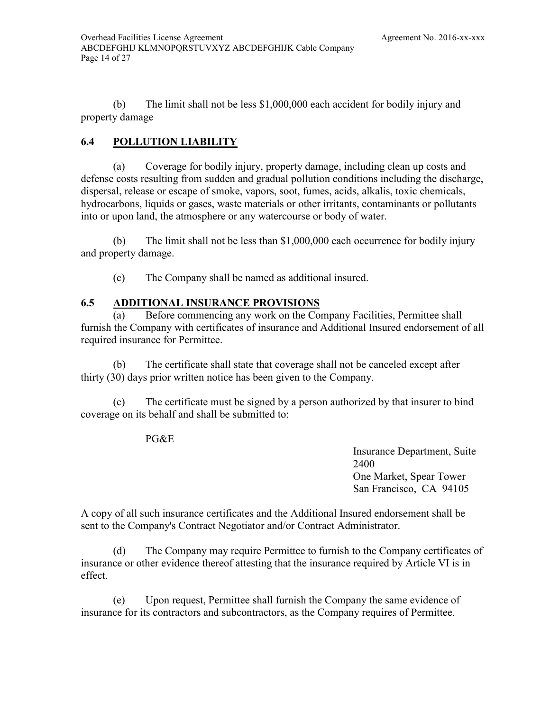(b) The limit shall not be less \$1,000,000 each accident for bodily injury and property damage

## <span id="page-21-0"></span>**6.4 POLLUTION LIABILITY**

(a) Coverage for bodily injury, property damage, including clean up costs and defense costs resulting from sudden and gradual pollution conditions including the discharge, dispersal, release or escape of smoke, vapors, soot, fumes, acids, alkalis, toxic chemicals, hydrocarbons, liquids or gases, waste materials or other irritants, contaminants or pollutants into or upon land, the atmosphere or any watercourse or body of water.

(b) The limit shall not be less than \$1,000,000 each occurrence for bodily injury and property damage.

(c) The Company shall be named as additional insured.

## <span id="page-21-1"></span>**6.5 ADDITIONAL INSURANCE PROVISIONS**

(a) Before commencing any work on the Company Facilities, Permittee shall furnish the Company with certificates of insurance and Additional Insured endorsement of all required insurance for Permittee.

(b) The certificate shall state that coverage shall not be canceled except after thirty (30) days prior written notice has been given to the Company.

(c) The certificate must be signed by a person authorized by that insurer to bind coverage on its behalf and shall be submitted to:

#### PG&E

Insurance Department, Suite 2400 One Market, Spear Tower San Francisco, CA 94105

A copy of all such insurance certificates and the Additional Insured endorsement shall be sent to the Company's Contract Negotiator and/or Contract Administrator.

(d) The Company may require Permittee to furnish to the Company certificates of insurance or other evidence thereof attesting that the insurance required by Article VI is in effect.

(e) Upon request, Permittee shall furnish the Company the same evidence of insurance for its contractors and subcontractors, as the Company requires of Permittee.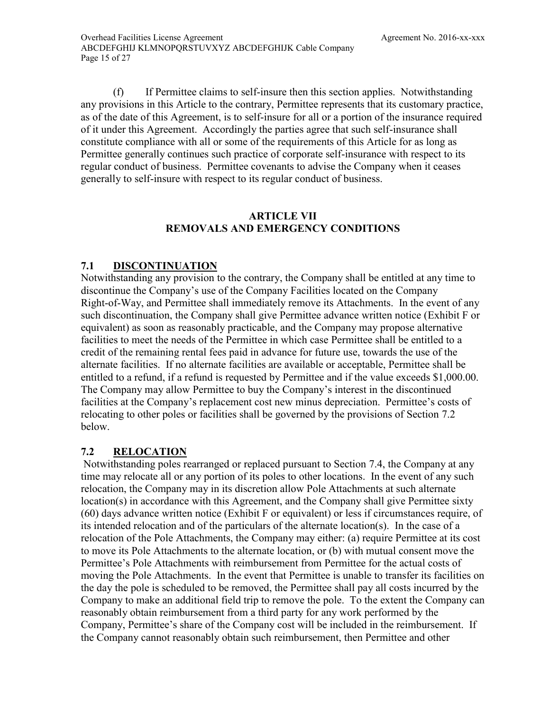(f) If Permittee claims to self-insure then this section applies. Notwithstanding any provisions in this Article to the contrary, Permittee represents that its customary practice, as of the date of this Agreement, is to self-insure for all or a portion of the insurance required of it under this Agreement. Accordingly the parties agree that such self-insurance shall constitute compliance with all or some of the requirements of this Article for as long as Permittee generally continues such practice of corporate self-insurance with respect to its regular conduct of business. Permittee covenants to advise the Company when it ceases generally to self-insure with respect to its regular conduct of business.

## **ARTICLE VII REMOVALS AND EMERGENCY CONDITIONS**

## <span id="page-22-1"></span><span id="page-22-0"></span>**7.1 DISCONTINUATION**

Notwithstanding any provision to the contrary, the Company shall be entitled at any time to discontinue the Company's use of the Company Facilities located on the Company Right-of-Way, and Permittee shall immediately remove its Attachments. In the event of any such discontinuation, the Company shall give Permittee advance written notice [\(Exhibit F](#page-7-2) or equivalent) as soon as reasonably practicable, and the Company may propose alternative facilities to meet the needs of the Permittee in which case Permittee shall be entitled to a credit of the remaining rental fees paid in advance for future use, towards the use of the alternate facilities. If no alternate facilities are available or acceptable, Permittee shall be entitled to a refund, if a refund is requested by Permittee and if the value exceeds \$1,000.00. The Company may allow Permittee to buy the Company's interest in the discontinued facilities at the Company's replacement cost new minus depreciation. Permittee's costs of relocating to other poles or facilities shall be governed by the provisions of Section [7.2](#page-22-2) below.

## <span id="page-22-2"></span>**7.2 RELOCATION**

Notwithstanding poles rearranged or replaced pursuant to Section [7.4,](#page-23-1) the Company at any time may relocate all or any portion of its poles to other locations. In the event of any such relocation, the Company may in its discretion allow Pole Attachments at such alternate location(s) in accordance with this Agreement, and the Company shall give Permittee [sixty](#page-23-2)  [\(60\) days](#page-23-2) advance written notice [\(Exhibit F](#page-7-2) or equivalent) or less if circumstances require, of its intended relocation and of the particulars of the alternate location(s). In the case of a relocation of the Pole Attachments, the Company may either: (a) require Permittee at its cost to move its Pole Attachments to the alternate location, or (b) with mutual consent move the Permittee's Pole Attachments with reimbursement from Permittee for the actual costs of moving the Pole Attachments. In the event that Permittee is unable to transfer its facilities on the day the pole is scheduled to be removed, the Permittee shall pay all costs incurred by the Company to make an additional field trip to remove the pole. To the extent the Company can reasonably obtain reimbursement from a third party for any work performed by the Company, Permittee's share of the Company cost will be included in the reimbursement. If the Company cannot reasonably obtain such reimbursement, then Permittee and other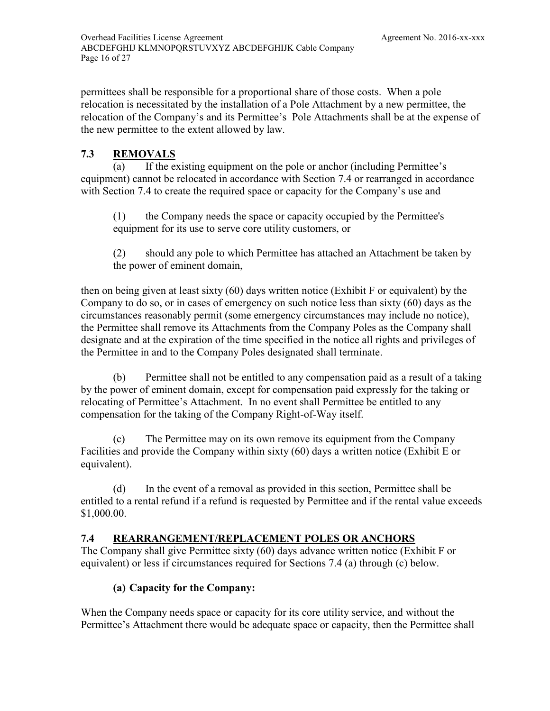permittees shall be responsible for a proportional share of those costs. When a pole relocation is necessitated by the installation of a Pole Attachment by a new permittee, the relocation of the Company's and its Permittee's Pole Attachments shall be at the expense of the new permittee to the extent allowed by law.

## <span id="page-23-0"></span>**7.3 REMOVALS**

(a) If the existing equipment on the pole or anchor (including Permittee's equipment) cannot be relocated in accordance with Section [7.4](#page-23-1) or rearranged in accordance with Section [7.4](#page-23-1) to create the required space or capacity for the Company's use and

(1) the Company needs the space or capacity occupied by the Permittee's equipment for its use to serve core utility customers, or

<span id="page-23-2"></span>(2) should any pole to which Permittee has attached an Attachment be taken by the power of eminent domain,

then on being given at least sixty (60) days written notice [\(Exhibit F](#page-7-2) or equivalent) by the Company to do so, or in cases of emergency on such notice less than [sixty \(60\) days](#page-23-2) as the circumstances reasonably permit (some emergency circumstances may include no notice), the Permittee shall remove its Attachments from the Company Poles as the Company shall designate and at the expiration of the time specified in the notice all rights and privileges of the Permittee in and to the Company Poles designated shall terminate.

(b) Permittee shall not be entitled to any compensation paid as a result of a taking by the power of eminent domain, except for compensation paid expressly for the taking or relocating of Permittee's Attachment. In no event shall Permittee be entitled to any compensation for the taking of the Company Right-of-Way itself.

(c) The Permittee may on its own remove its equipment from the Company Facilities and provide the Company within [sixty \(60\) days](#page-23-2) a written notice [\(Exhibit E](#page-7-3) or equivalent).

(d) In the event of a removal as provided in this section, Permittee shall be entitled to a rental refund if a refund is requested by Permittee and if the rental value exceeds \$1,000.00.

## <span id="page-23-1"></span>**7.4 REARRANGEMENT/REPLACEMENT POLES OR ANCHORS**

The Company shall give Permittee [sixty \(60\) days](#page-23-2) advance written notice [\(Exhibit F](#page-7-2) or equivalent) or less if circumstances required for Sections [7.4](#page-23-1) (a) through (c) below.

## **(a) Capacity for the Company:**

When the Company needs space or capacity for its core utility service, and without the Permittee's Attachment there would be adequate space or capacity, then the Permittee shall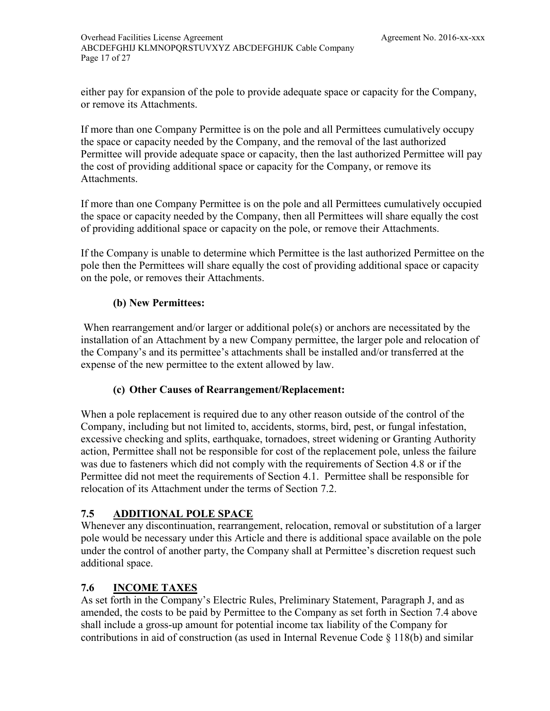Overhead Facilities License Agreement [Agreement No. 2016-xx-xxx](#page-4-0) [ABCDEFGHIJ KLMNOPQRSTUVXYZ ABCDEFGHIJK Cable Company](#page-8-0)  Page 17 of [27](#page-34-1)

either pay for expansion of the pole to provide adequate space or capacity for the Company, or remove its Attachments.

If more than one Company Permittee is on the pole and all Permittees cumulatively occupy the space or capacity needed by the Company, and the removal of the last authorized Permittee will provide adequate space or capacity, then the last authorized Permittee will pay the cost of providing additional space or capacity for the Company, or remove its Attachments.

If more than one Company Permittee is on the pole and all Permittees cumulatively occupied the space or capacity needed by the Company, then all Permittees will share equally the cost of providing additional space or capacity on the pole, or remove their Attachments.

If the Company is unable to determine which Permittee is the last authorized Permittee on the pole then the Permittees will share equally the cost of providing additional space or capacity on the pole, or removes their Attachments.

## **(b) New Permittees:**

When rearrangement and/or larger or additional pole(s) or anchors are necessitated by the installation of an Attachment by a new Company permittee, the larger pole and relocation of the Company's and its permittee's attachments shall be installed and/or transferred at the expense of the new permittee to the extent allowed by law.

## **(c) Other Causes of Rearrangement/Replacement:**

When a pole replacement is required due to any other reason outside of the control of the Company, including but not limited to, accidents, storms, bird, pest, or fungal infestation, excessive checking and splits, earthquake, tornadoes, street widening or Granting Authority action, Permittee shall not be responsible for cost of the replacement pole, unless the failure was due to fasteners which did not comply with the requirements of Section [4.8](#page-16-3) or if the Permittee did not meet the requirements of Section [4.1.](#page-14-2) Permittee shall be responsible for relocation of its Attachment under the terms of Section [7.2.](#page-22-2)

## <span id="page-24-0"></span>**7.5 ADDITIONAL POLE SPACE**

Whenever any discontinuation, rearrangement, relocation, removal or substitution of a larger pole would be necessary under this Article and there is additional space available on the pole under the control of another party, the Company shall at Permittee's discretion request such additional space.

## <span id="page-24-1"></span>**7.6 INCOME TAXES**

As set forth in the Company's Electric Rules, Preliminary Statement, Paragraph J, and as amended, the costs to be paid by Permittee to the Company as set forth in Section [7.4](#page-23-1) above shall include a gross-up amount for potential income tax liability of the Company for contributions in aid of construction (as used in Internal Revenue Code § 118(b) and similar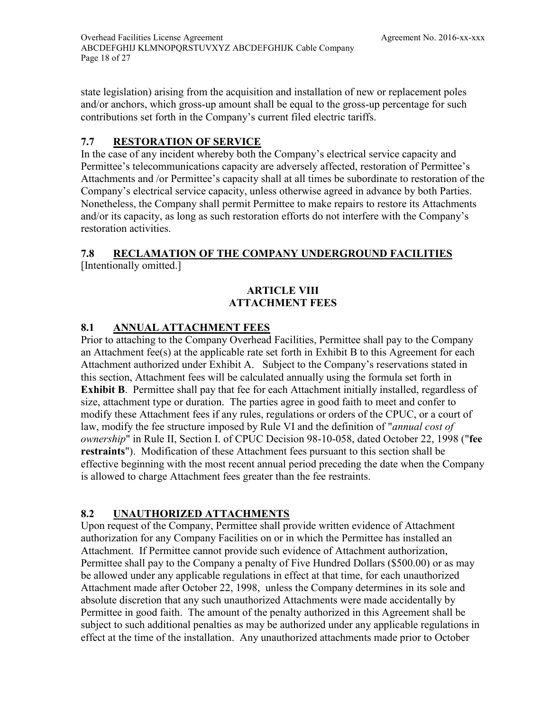state legislation) arising from the acquisition and installation of new or replacement poles and/or anchors, which gross-up amount shall be equal to the gross-up percentage for such contributions set forth in the Company's current filed electric tariffs.

## <span id="page-25-0"></span>**7.7 RESTORATION OF SERVICE**

In the case of any incident whereby both the Company's electrical service capacity and Permittee's telecommunications capacity are adversely affected, restoration of Permittee's Attachments and /or Permittee's capacity shall at all times be subordinate to restoration of the Company's electrical service capacity, unless otherwise agreed in advance by both Parties. Nonetheless, the Company shall permit Permittee to make repairs to restore its Attachments and/or its capacity, as long as such restoration efforts do not interfere with the Company's restoration activities.

#### <span id="page-25-1"></span>**7.8 RECLAMATION OF THE COMPANY UNDERGROUND FACILITIES**  [Intentionally omitted.]

## **ARTICLE VIII ATTACHMENT FEES**

## <span id="page-25-3"></span><span id="page-25-2"></span>**8.1 ANNUAL ATTACHMENT FEES**

Prior to attaching to the Company Overhead Facilities, Permittee shall pay to the Company an Attachment fee(s) at the applicable rate set forth in [Exhibit B](#page-7-4) to this Agreement for each Attachment authorized under [Exhibit A.](#page-7-0) Subject to the Company's reservations stated in this section, Attachment fees will be calculated annually using the formula set forth in **[Exhibit B](#page-7-4)**. Permittee shall pay that fee for each Attachment initially installed, regardless of size, attachment type or duration. The parties agree in good faith to meet and confer to modify these Attachment fees if any rules, regulations or orders of the CPUC, or a court of law, modify the fee structure imposed by Rule VI and the definition of "*annual cost of ownership*" in Rule II, Section I. of CPUC Decision 98-10-058, dated October 22, 1998 ("**fee restraints**"). Modification of these Attachment fees pursuant to this section shall be effective beginning with the most recent annual period preceding the date when the Company is allowed to charge Attachment fees greater than the fee restraints.

## <span id="page-25-4"></span>**8.2 UNAUTHORIZED ATTACHMENTS**

Upon request of the Company, Permittee shall provide written evidence of Attachment authorization for any Company Facilities on or in which the Permittee has installed an Attachment. If Permittee cannot provide such evidence of Attachment authorization, Permittee shall pay to the Company a penalty of Five Hundred Dollars (\$500.00) or as may be allowed under any applicable regulations in effect at that time, for each unauthorized Attachment made after October 22, 1998, unless the Company determines in its sole and absolute discretion that any such unauthorized Attachments were made accidentally by Permittee in good faith. The amount of the penalty authorized in this Agreement shall be subject to such additional penalties as may be authorized under any applicable regulations in effect at the time of the installation. Any unauthorized attachments made prior to October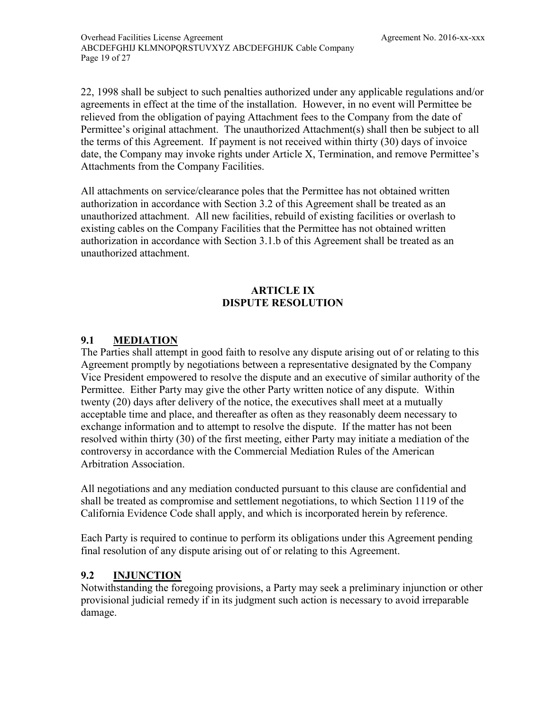22, 1998 shall be subject to such penalties authorized under any applicable regulations and/or agreements in effect at the time of the installation. However, in no event will Permittee be relieved from the obligation of paying Attachment fees to the Company from the date of Permittee's original attachment. The unauthorized Attachment(s) shall then be subject to all the terms of this Agreement. If payment is not received within thirty (30) days of invoice date, the Company may invoke rights under Article X, Termination, and remove Permittee's Attachments from the Company Facilities.

All attachments on service/clearance poles that the Permittee has not obtained written authorization in accordance with Section 3.2 of this Agreement shall be treated as an unauthorized attachment. All new facilities, rebuild of existing facilities or overlash to existing cables on the Company Facilities that the Permittee has not obtained written authorization in accordance with Section 3.1.b of this Agreement shall be treated as an unauthorized attachment.

## <span id="page-26-3"></span>**ARTICLE IX DISPUTE RESOLUTION**

## <span id="page-26-1"></span><span id="page-26-0"></span>**9.1 MEDIATION**

The Parties shall attempt in good faith to resolve any dispute arising out of or relating to this Agreement promptly by negotiations between a representative designated by the Company Vice President empowered to resolve the dispute and an executive of similar authority of the Permittee. Either Party may give the other Party written notice of any dispute. Within twenty (20) days after delivery of the notice, the executives shall meet at a mutually acceptable time and place, and thereafter as often as they reasonably deem necessary to exchange information and to attempt to resolve the dispute. If the matter has not been resolved within [thirty \(30\)](#page-11-4) of the first meeting, either Party may initiate a mediation of the controversy in accordance with the Commercial Mediation Rules of the American Arbitration Association.

All negotiations and any mediation conducted pursuant to this clause are confidential and shall be treated as compromise and settlement negotiations, to which Section 1119 of the California Evidence Code shall apply, and which is incorporated herein by reference.

Each Party is required to continue to perform its obligations under this Agreement pending final resolution of any dispute arising out of or relating to this Agreement.

## <span id="page-26-2"></span>**9.2 INJUNCTION**

Notwithstanding the foregoing provisions, a Party may seek a preliminary injunction or other provisional judicial remedy if in its judgment such action is necessary to avoid irreparable damage.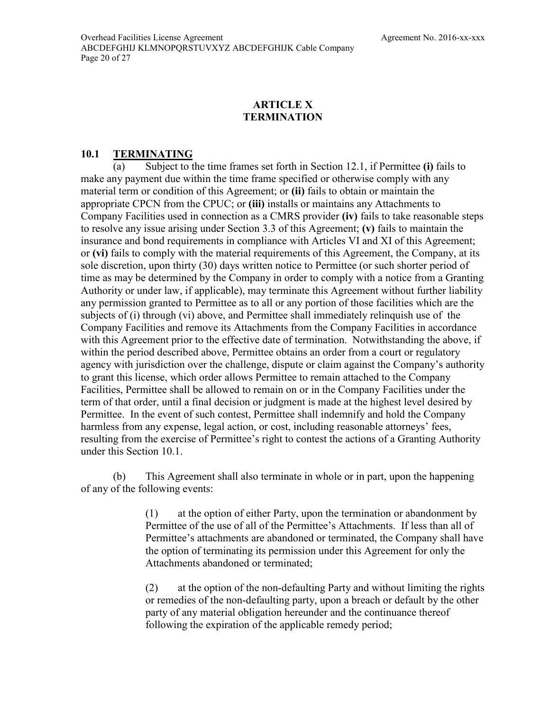## **ARTICLE X TERMINATION**

## <span id="page-27-1"></span><span id="page-27-0"></span>**10.1 TERMINATING**

(a) Subject to the time frames set forth in Section [12.1,](#page-29-1) if Permittee **(i)** fails to make any payment due within the time frame specified or otherwise comply with any material term or condition of this Agreement; or **(ii)** fails to obtain or maintain the appropriate CPCN from the CPUC; or **(iii)** installs or maintains any Attachments to Company Facilities used in connection as a CMRS provider **(iv)** fails to take reasonable steps to resolve any issue arising under Section [3.3](#page-13-0) of this Agreement; **(v)** fails to maintain the insurance and bond requirements in compliance with Articles VI and XI of this Agreement; or **(vi)** fails to comply with the material requirements of this Agreement, the Company, at its sole discretion, upon [thirty \(30\)](#page-11-4) days written notice to Permittee (or such shorter period of time as may be determined by the Company in order to comply with a notice from a Granting Authority or under law, if applicable), may terminate this Agreement without further liability any permission granted to Permittee as to all or any portion of those facilities which are the subjects of (i) through (vi) above, and Permittee shall immediately relinquish use of the Company Facilities and remove its Attachments from the Company Facilities in accordance with this Agreement prior to the effective date of termination. Notwithstanding the above, if within the period described above, Permittee obtains an order from a court or regulatory agency with jurisdiction over the challenge, dispute or claim against the Company's authority to grant this license, which order allows Permittee to remain attached to the Company Facilities, Permittee shall be allowed to remain on or in the Company Facilities under the term of that order, until a final decision or judgment is made at the highest level desired by Permittee. In the event of such contest, Permittee shall indemnify and hold the Company harmless from any expense, legal action, or cost, including reasonable attorneys' fees, resulting from the exercise of Permittee's right to contest the actions of a Granting Authority under this Section [10.1.](#page-27-1)

(b) This Agreement shall also terminate in whole or in part, upon the happening of any of the following events:

> (1) at the option of either Party, upon the termination or abandonment by Permittee of the use of all of the Permittee's Attachments. If less than all of Permittee's attachments are abandoned or terminated, the Company shall have the option of terminating its permission under this Agreement for only the Attachments abandoned or terminated;

> (2) at the option of the non-defaulting Party and without limiting the rights or remedies of the non-defaulting party, upon a breach or default by the other party of any material obligation hereunder and the continuance thereof following the expiration of the applicable remedy period;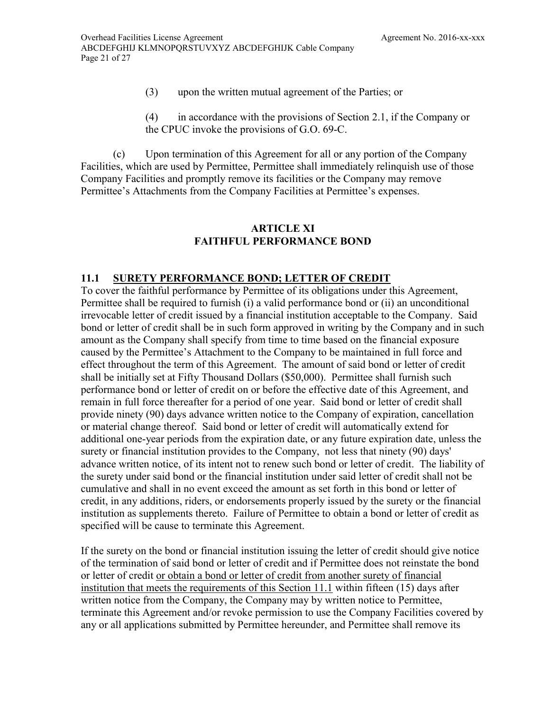- (3) upon the written mutual agreement of the Parties; or
- (4) in accordance with the provisions of Section [2.1,](#page-10-3) if the Company or the CPUC invoke the provisions of G.O. 69-C.

(c) Upon termination of this Agreement for all or any portion of the Company Facilities, which are used by Permittee, Permittee shall immediately relinquish use of those Company Facilities and promptly remove its facilities or the Company may remove Permittee's Attachments from the Company Facilities at Permittee's expenses.

## **ARTICLE XI FAITHFUL PERFORMANCE BOND**

## <span id="page-28-1"></span><span id="page-28-0"></span>**11.1 SURETY PERFORMANCE BOND; LETTER OF CREDIT**

To cover the faithful performance by Permittee of its obligations under this Agreement, Permittee shall be required to furnish (i) a valid performance bond or (ii) an unconditional irrevocable letter of credit issued by a financial institution acceptable to the Company. Said bond or letter of credit shall be in such form approved in writing by the Company and in such amount as the Company shall specify from time to time based on the financial exposure caused by the Permittee's Attachment to the Company to be maintained in full force and effect throughout the term of this Agreement. The amount of said bond or letter of credit shall be initially set at Fifty Thousand Dollars (\$50,000). Permittee shall furnish such performance bond or letter of credit on or before the effective date of this Agreement, and remain in full force thereafter for a period of one year. Said bond or letter of credit shall provide ninety (90) days advance written notice to the Company of expiration, cancellation or material change thereof. Said bond or letter of credit will automatically extend for additional one-year periods from the expiration date, or any future expiration date, unless the surety or financial institution provides to the Company, not less that ninety (90) days' advance written notice, of its intent not to renew such bond or letter of credit. The liability of the surety under said bond or the financial institution under said letter of credit shall not be cumulative and shall in no event exceed the amount as set forth in this bond or letter of credit, in any additions, riders, or endorsements properly issued by the surety or the financial institution as supplements thereto. Failure of Permittee to obtain a bond or letter of credit as specified will be cause to terminate this Agreement.

If the surety on the bond or financial institution issuing the letter of credit should give notice of the termination of said bond or letter of credit and if Permittee does not reinstate the bond or letter of credit or obtain a bond or letter of credit from another surety of financial institution that meets the requirements of this Section [11.1](#page-28-1) within fifteen (15) days after written notice from the Company, the Company may by written notice to Permittee, terminate this Agreement and/or revoke permission to use the Company Facilities covered by any or all applications submitted by Permittee hereunder, and Permittee shall remove its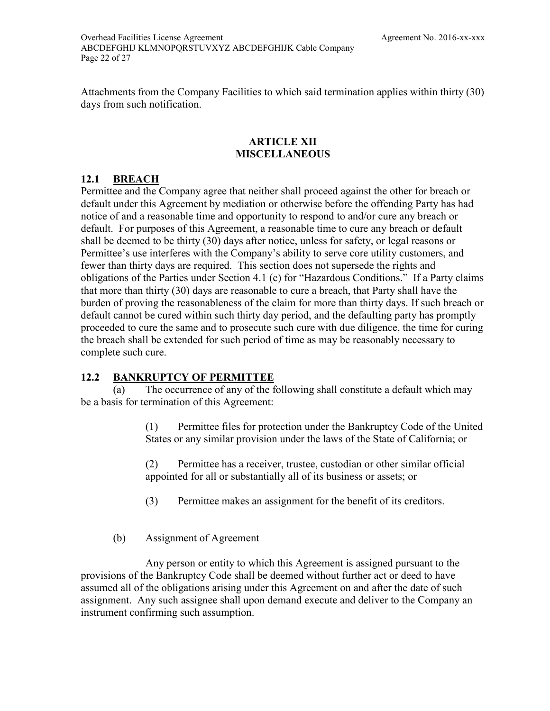Attachments from the Company Facilities to which said termination applies within thirty (30) days from such notification.

#### **ARTICLE XII MISCELLANEOUS**

## <span id="page-29-1"></span><span id="page-29-0"></span>**12.1 BREACH**

Permittee and the Company agree that neither shall proceed against the other for breach or default under this Agreement by mediation or otherwise before the offending Party has had notice of and a reasonable time and opportunity to respond to and/or cure any breach or default. For purposes of this Agreement, a reasonable time to cure any breach or default shall be deemed to be [thirty \(30\)](#page-11-4) days after notice, unless for safety, or legal reasons or Permittee's use interferes with the Company's ability to serve core utility customers, and fewer than thirty days are required. This section does not supersede the rights and obligations of the Parties under Section [4.1](#page-14-2) (c) for "Hazardous Conditions." If a Party claims that more than [thirty \(30\)](#page-11-4) days are reasonable to cure a breach, that Party shall have the burden of proving the reasonableness of the claim for more than thirty days. If such breach or default cannot be cured within such thirty day period, and the defaulting party has promptly proceeded to cure the same and to prosecute such cure with due diligence, the time for curing the breach shall be extended for such period of time as may be reasonably necessary to complete such cure.

## <span id="page-29-2"></span>**12.2 BANKRUPTCY OF PERMITTEE**

(a) The occurrence of any of the following shall constitute a default which may be a basis for termination of this Agreement:

> (1) Permittee files for protection under the Bankruptcy Code of the United States or any similar provision under the laws of the State of California; or

(2) Permittee has a receiver, trustee, custodian or other similar official appointed for all or substantially all of its business or assets; or

(3) Permittee makes an assignment for the benefit of its creditors.

## (b) Assignment of Agreement

Any person or entity to which this Agreement is assigned pursuant to the provisions of the Bankruptcy Code shall be deemed without further act or deed to have assumed all of the obligations arising under this Agreement on and after the date of such assignment. Any such assignee shall upon demand execute and deliver to the Company an instrument confirming such assumption.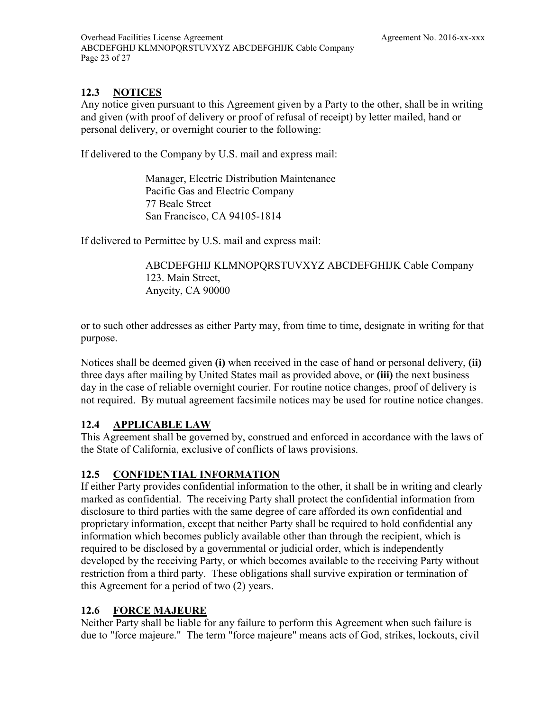## <span id="page-30-0"></span>**12.3 NOTICES**

Any notice given pursuant to this Agreement given by a Party to the other, shall be in writing and given (with proof of delivery or proof of refusal of receipt) by letter mailed, hand or personal delivery, or overnight courier to the following:

If delivered to the Company by U.S. mail and express mail:

Manager, Electric Distribution Maintenance Pacific Gas and Electric Company 77 Beale Street San Francisco, CA 94105-1814

If delivered to Permittee by U.S. mail and express mail:

[ABCDEFGHIJ KLMNOPQRSTUVXYZ ABCDEFGHIJK Cable Company](#page-8-0) 123. Main Street, Anycity, CA 90000

or to such other addresses as either Party may, from time to time, designate in writing for that purpose.

Notices shall be deemed given **(i)** when received in the case of hand or personal delivery, **(ii)** three days after mailing by United States mail as provided above, or **(iii)** the next business day in the case of reliable overnight courier. For routine notice changes, proof of delivery is not required. By mutual agreement facsimile notices may be used for routine notice changes.

## <span id="page-30-1"></span>**12.4 APPLICABLE LAW**

This Agreement shall be governed by, construed and enforced in accordance with the laws of the State of California, exclusive of conflicts of laws provisions.

## <span id="page-30-2"></span>**12.5 CONFIDENTIAL INFORMATION**

If either Party provides confidential information to the other, it shall be in writing and clearly marked as confidential. The receiving Party shall protect the confidential information from disclosure to third parties with the same degree of care afforded its own confidential and proprietary information, except that neither Party shall be required to hold confidential any information which becomes publicly available other than through the recipient, which is required to be disclosed by a governmental or judicial order, which is independently developed by the receiving Party, or which becomes available to the receiving Party without restriction from a third party. These obligations shall survive expiration or termination of this Agreement for a period of two (2) years.

## <span id="page-30-3"></span>**12.6 FORCE MAJEURE**

Neither Party shall be liable for any failure to perform this Agreement when such failure is due to "force majeure." The term "force majeure" means acts of God, strikes, lockouts, civil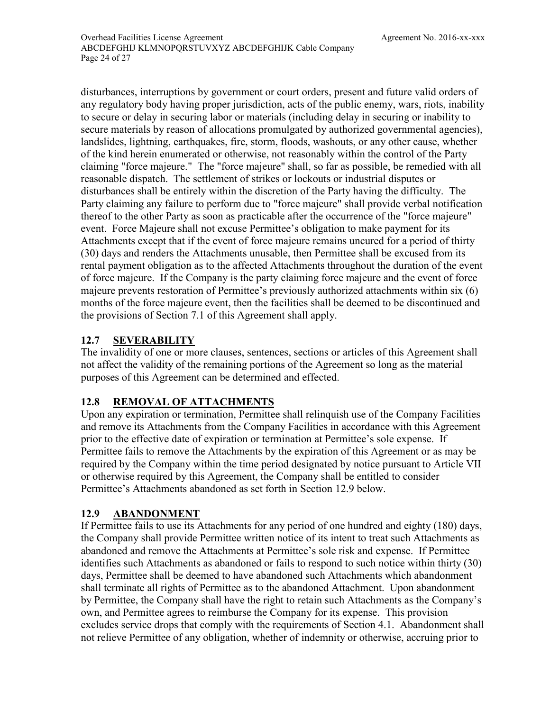disturbances, interruptions by government or court orders, present and future valid orders of any regulatory body having proper jurisdiction, acts of the public enemy, wars, riots, inability to secure or delay in securing labor or materials (including delay in securing or inability to secure materials by reason of allocations promulgated by authorized governmental agencies), landslides, lightning, earthquakes, fire, storm, floods, washouts, or any other cause, whether of the kind herein enumerated or otherwise, not reasonably within the control of the Party claiming "force majeure." The "force majeure" shall, so far as possible, be remedied with all reasonable dispatch. The settlement of strikes or lockouts or industrial disputes or disturbances shall be entirely within the discretion of the Party having the difficulty. The Party claiming any failure to perform due to "force majeure" shall provide verbal notification thereof to the other Party as soon as practicable after the occurrence of the "force majeure" event. Force Majeure shall not excuse Permittee's obligation to make payment for its Attachments except that if the event of force majeure remains uncured for a period of thirty (30) days and renders the Attachments unusable, then Permittee shall be excused from its rental payment obligation as to the affected Attachments throughout the duration of the event of force majeure. If the Company is the party claiming force majeure and the event of force majeure prevents restoration of Permittee's previously authorized attachments within six (6) months of the force majeure event, then the facilities shall be deemed to be discontinued and the provisions of Section [7.1](#page-22-1) of this Agreement shall apply.

## <span id="page-31-0"></span>**12.7 SEVERABILITY**

The invalidity of one or more clauses, sentences, sections or articles of this Agreement shall not affect the validity of the remaining portions of the Agreement so long as the material purposes of this Agreement can be determined and effected.

## <span id="page-31-1"></span>**12.8 REMOVAL OF ATTACHMENTS**

Upon any expiration or termination, Permittee shall relinquish use of the Company Facilities and remove its Attachments from the Company Facilities in accordance with this Agreement prior to the effective date of expiration or termination at Permittee's sole expense. If Permittee fails to remove the Attachments by the expiration of this Agreement or as may be required by the Company within the time period designated by notice pursuant to Article VII or otherwise required by this Agreement, the Company shall be entitled to consider Permittee's Attachments abandoned as set forth in Section [12.9](#page-31-2) below.

## <span id="page-31-2"></span>**12.9 ABANDONMENT**

If Permittee fails to use its Attachments for any period of one hundred and eighty (180) days, the Company shall provide Permittee written notice of its intent to treat such Attachments as abandoned and remove the Attachments at Permittee's sole risk and expense. If Permittee identifies such Attachments as abandoned or fails to respond to such notice within thirty (30) days, Permittee shall be deemed to have abandoned such Attachments which abandonment shall terminate all rights of Permittee as to the abandoned Attachment. Upon abandonment by Permittee, the Company shall have the right to retain such Attachments as the Company's own, and Permittee agrees to reimburse the Company for its expense. This provision excludes service drops that comply with the requirements of Section 4.1. Abandonment shall not relieve Permittee of any obligation, whether of indemnity or otherwise, accruing prior to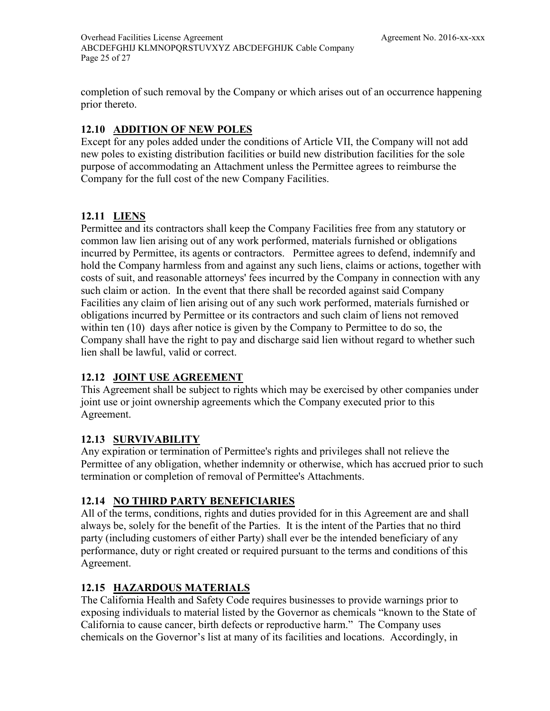completion of such removal by the Company or which arises out of an occurrence happening prior thereto.

## <span id="page-32-0"></span>**12.10 ADDITION OF NEW POLES**

Except for any poles added under the conditions of Article VII, the Company will not add new poles to existing distribution facilities or build new distribution facilities for the sole purpose of accommodating an Attachment unless the Permittee agrees to reimburse the Company for the full cost of the new Company Facilities.

## <span id="page-32-1"></span>**12.11 LIENS**

Permittee and its contractors shall keep the Company Facilities free from any statutory or common law lien arising out of any work performed, materials furnished or obligations incurred by Permittee, its agents or contractors. Permittee agrees to defend, indemnify and hold the Company harmless from and against any such liens, claims or actions, together with costs of suit, and reasonable attorneys' fees incurred by the Company in connection with any such claim or action. In the event that there shall be recorded against said Company Facilities any claim of lien arising out of any such work performed, materials furnished or obligations incurred by Permittee or its contractors and such claim of liens not removed within ten (10) days after notice is given by the Company to Permittee to do so, the Company shall have the right to pay and discharge said lien without regard to whether such lien shall be lawful, valid or correct.

## <span id="page-32-2"></span>**12.12 JOINT USE AGREEMENT**

This Agreement shall be subject to rights which may be exercised by other companies under joint use or joint ownership agreements which the Company executed prior to this Agreement.

## <span id="page-32-3"></span>**12.13 SURVIVABILITY**

Any expiration or termination of Permittee's rights and privileges shall not relieve the Permittee of any obligation, whether indemnity or otherwise, which has accrued prior to such termination or completion of removal of Permittee's Attachments.

## <span id="page-32-4"></span>**12.14 NO THIRD PARTY BENEFICIARIES**

All of the terms, conditions, rights and duties provided for in this Agreement are and shall always be, solely for the benefit of the Parties. It is the intent of the Parties that no third party (including customers of either Party) shall ever be the intended beneficiary of any performance, duty or right created or required pursuant to the terms and conditions of this Agreement.

## <span id="page-32-5"></span>**12.15 HAZARDOUS MATERIALS**

The California Health and Safety Code requires businesses to provide warnings prior to exposing individuals to material listed by the Governor as chemicals "known to the State of California to cause cancer, birth defects or reproductive harm." The Company uses chemicals on the Governor's list at many of its facilities and locations. Accordingly, in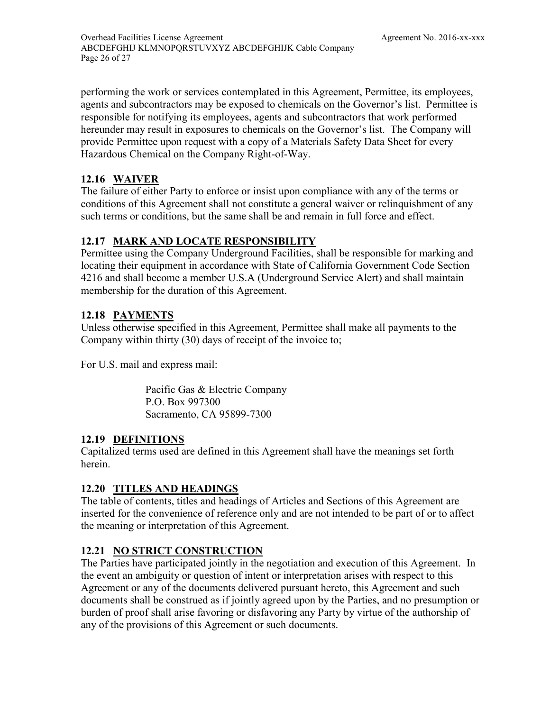performing the work or services contemplated in this Agreement, Permittee, its employees, agents and subcontractors may be exposed to chemicals on the Governor's list. Permittee is responsible for notifying its employees, agents and subcontractors that work performed hereunder may result in exposures to chemicals on the Governor's list. The Company will provide Permittee upon request with a copy of a Materials Safety Data Sheet for every Hazardous Chemical on the Company Right-of-Way.

## <span id="page-33-0"></span>**12.16 WAIVER**

The failure of either Party to enforce or insist upon compliance with any of the terms or conditions of this Agreement shall not constitute a general waiver or relinquishment of any such terms or conditions, but the same shall be and remain in full force and effect.

## <span id="page-33-1"></span>**12.17 MARK AND LOCATE RESPONSIBILITY**

Permittee using the Company Underground Facilities, shall be responsible for marking and locating their equipment in accordance with State of California Government Code Section 4216 and shall become a member U.S.A (Underground Service Alert) and shall maintain membership for the duration of this Agreement.

## <span id="page-33-2"></span>**12.18 PAYMENTS**

Unless otherwise specified in this Agreement, Permittee shall make all payments to the Company within [thirty \(30\)](#page-26-3) days of receipt of the invoice to;

For U.S. mail and express mail:

Pacific Gas & Electric Company P.O. Box 997300 Sacramento, CA 95899-7300

## <span id="page-33-3"></span>**12.19 DEFINITIONS**

Capitalized terms used are defined in this Agreement shall have the meanings set forth herein.

## <span id="page-33-4"></span>**12.20 TITLES AND HEADINGS**

The table of contents, titles and headings of Articles and Sections of this Agreement are inserted for the convenience of reference only and are not intended to be part of or to affect the meaning or interpretation of this Agreement.

## <span id="page-33-5"></span>**12.21 NO STRICT CONSTRUCTION**

The Parties have participated jointly in the negotiation and execution of this Agreement. In the event an ambiguity or question of intent or interpretation arises with respect to this Agreement or any of the documents delivered pursuant hereto, this Agreement and such documents shall be construed as if jointly agreed upon by the Parties, and no presumption or burden of proof shall arise favoring or disfavoring any Party by virtue of the authorship of any of the provisions of this Agreement or such documents.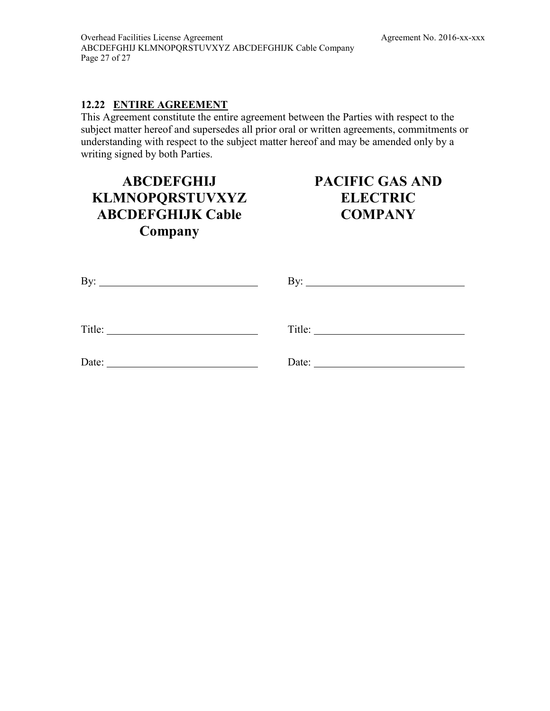## <span id="page-34-0"></span>**12.22 ENTIRE AGREEMENT**

This Agreement constitute the entire agreement between the Parties with respect to the subject matter hereof and supersedes all prior oral or written agreements, commitments or understanding with respect to the subject matter hereof and may be amended only by a writing signed by both Parties.

## **[ABCDEFGHIJ](#page-8-0)  [KLMNOPQRSTUVXYZ](#page-8-0)  [ABCDEFGHIJK Cable](#page-8-0)  [Company](#page-8-0)**

## **PACIFIC GAS AND ELECTRIC COMPANY**

<span id="page-34-1"></span>

|                 | By: $\qquad \qquad$ |
|-----------------|---------------------|
|                 |                     |
| $\text{Title:}$ | Title:              |
| Date:           | Date: $\frac{1}{1}$ |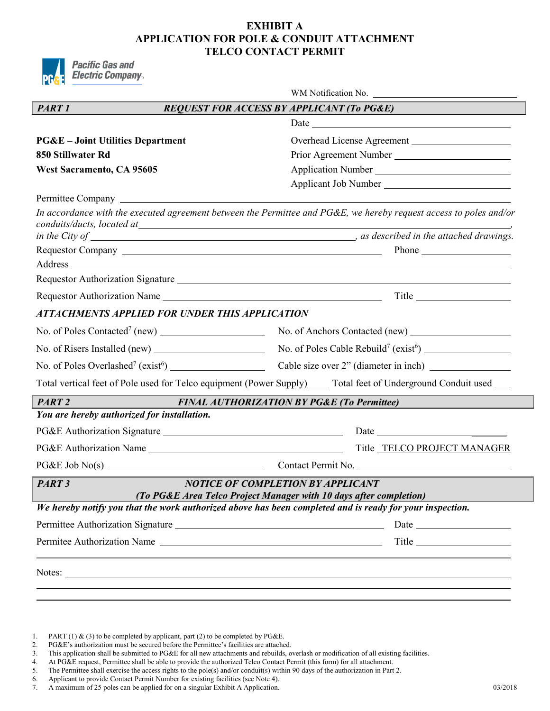## **EXHIBIT A APPLICATION FOR POLE & CONDUIT ATTACHMENT TELCO CONTACT PERMIT**



|                                                                                                                                                                                                                                                                                                                                                                                                     | WM Notification No.                                                                                                 |
|-----------------------------------------------------------------------------------------------------------------------------------------------------------------------------------------------------------------------------------------------------------------------------------------------------------------------------------------------------------------------------------------------------|---------------------------------------------------------------------------------------------------------------------|
| <b>PART 1</b>                                                                                                                                                                                                                                                                                                                                                                                       | <b>REQUEST FOR ACCESS BY APPLICANT (To PG&amp;E)</b>                                                                |
|                                                                                                                                                                                                                                                                                                                                                                                                     |                                                                                                                     |
| <b>PG&amp;E</b> – Joint Utilities Department                                                                                                                                                                                                                                                                                                                                                        | Overhead License Agreement                                                                                          |
| 850 Stillwater Rd                                                                                                                                                                                                                                                                                                                                                                                   |                                                                                                                     |
| <b>West Sacramento, CA 95605</b>                                                                                                                                                                                                                                                                                                                                                                    |                                                                                                                     |
|                                                                                                                                                                                                                                                                                                                                                                                                     | Applicant Job Number                                                                                                |
| Permittee Company                                                                                                                                                                                                                                                                                                                                                                                   |                                                                                                                     |
|                                                                                                                                                                                                                                                                                                                                                                                                     | In accordance with the executed agreement between the Permittee and PG&E, we hereby request access to poles and/or  |
|                                                                                                                                                                                                                                                                                                                                                                                                     | in the City of $\frac{1}{\sqrt{1-\frac{1}{n}}}\cos\theta$ as described in the attached drawings.                    |
|                                                                                                                                                                                                                                                                                                                                                                                                     |                                                                                                                     |
|                                                                                                                                                                                                                                                                                                                                                                                                     |                                                                                                                     |
|                                                                                                                                                                                                                                                                                                                                                                                                     |                                                                                                                     |
|                                                                                                                                                                                                                                                                                                                                                                                                     |                                                                                                                     |
| ATTACHMENTS APPLIED FOR UNDER THIS APPLICATION                                                                                                                                                                                                                                                                                                                                                      |                                                                                                                     |
| No. of Poles Contacted <sup>7</sup> (new) $\frac{1}{\sqrt{1-\frac{1}{2}}\sqrt{1-\frac{1}{2}}\sqrt{1-\frac{1}{2}}\sqrt{1-\frac{1}{2}}\sqrt{1-\frac{1}{2}}\sqrt{1-\frac{1}{2}}\sqrt{1-\frac{1}{2}}\sqrt{1-\frac{1}{2}}\sqrt{1-\frac{1}{2}}\sqrt{1-\frac{1}{2}}\sqrt{1-\frac{1}{2}}\sqrt{1-\frac{1}{2}}\sqrt{1-\frac{1}{2}}\sqrt{1-\frac{1}{2}}\sqrt{1-\frac{1}{2}}\sqrt{1-\frac{1}{2}}\sqrt{1-\frac{$ | No. of Anchors Contacted (new)                                                                                      |
|                                                                                                                                                                                                                                                                                                                                                                                                     | No. of Poles Cable Rebuild <sup>7</sup> (exist <sup>6</sup> ) $\frac{1}{2}$                                         |
| No. of Poles Overlashed <sup>7</sup> (exist <sup>6</sup> ) $\qquad \qquad$                                                                                                                                                                                                                                                                                                                          |                                                                                                                     |
|                                                                                                                                                                                                                                                                                                                                                                                                     | Total vertical feet of Pole used for Telco equipment (Power Supply) ____ Total feet of Underground Conduit used ___ |
| <b>PART2</b>                                                                                                                                                                                                                                                                                                                                                                                        | <b>FINAL AUTHORIZATION BY PG&amp;E (To Permittee)</b>                                                               |
| You are hereby authorized for installation.                                                                                                                                                                                                                                                                                                                                                         |                                                                                                                     |
|                                                                                                                                                                                                                                                                                                                                                                                                     |                                                                                                                     |
|                                                                                                                                                                                                                                                                                                                                                                                                     | Title_TELCO PROJECT MANAGER                                                                                         |
|                                                                                                                                                                                                                                                                                                                                                                                                     | $PG\&E\&Job\&o(s)$ Contact Permit No.                                                                               |
| PART <sub>3</sub>                                                                                                                                                                                                                                                                                                                                                                                   | NOTICE OF COMPLETION BY APPLICANT<br>(To PG&E Area Telco Project Manager with 10 days after completion)             |
| We hereby notify you that the work authorized above has been completed and is ready for your inspection.                                                                                                                                                                                                                                                                                            |                                                                                                                     |
|                                                                                                                                                                                                                                                                                                                                                                                                     | Date                                                                                                                |
| Permitee Authorization Name                                                                                                                                                                                                                                                                                                                                                                         |                                                                                                                     |
|                                                                                                                                                                                                                                                                                                                                                                                                     |                                                                                                                     |
|                                                                                                                                                                                                                                                                                                                                                                                                     |                                                                                                                     |

- PG&E's authorization must be secured before the Permittee's facilities are attached.
- 3. This application shall be submitted to PG&E for all new attachments and rebuilds, overlash or modification of all existing facilities.<br>4. At PG&E request, Permittee shall be able to provide the authorized Telco Contact

- 6. Applicant to provide Contact Permit Number for existing facilities (see Note 4).
- 7. A maximum of 25 poles can be applied for on a singular Exhibit A Application. 03/2018

<sup>4.</sup> At PG $\&$ E request, Permittee shall be able to provide the authorized Telco Contact Permit (this form) for all attachment.<br>5. The Permittee shall exercise the access rights to the pole(s) and/or conduit(s) within 90 da The Permittee shall exercise the access rights to the pole(s) and/or conduit(s) within 90 days of the authorization in Part 2.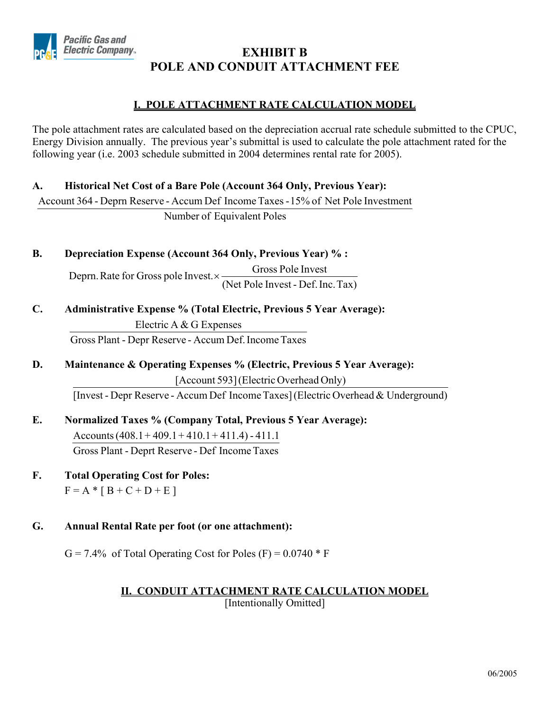

## **EXHIBIT B POLE AND CONDUIT ATTACHMENT FEE**

## **I. POLE ATTACHMENT RATE CALCULATION MODEL**

The pole attachment rates are calculated based on the depreciation accrual rate schedule submitted to the CPUC, Energy Division annually. The previous year's submittal is used to calculate the pole attachment rated for the following year (i.e. 2003 schedule submitted in 2004 determines rental rate for 2005).

## **A. Historical Net Cost of a Bare Pole (Account 364 Only, Previous Year):**

Account 364 - Deprn Reserve - Accum Def Income Taxes - 15% of Net Pole Investment

Number of Equivalent Poles

## **B. Depreciation Expense (Account 364 Only, Previous Year) % :**

(Net Pole Invest - Def. Inc. Tax) Deprn. Rate for Gross pole Invest.  $\times$  Gross Pole Invest.

## **C. Administrative Expense % (Total Electric, Previous 5 Year Average):**

Gross Plant - Depr Reserve - Accum Def. Income Taxes Electric A  $&G$  Expenses

**D. Maintenance & Operating Expenses % (Electric, Previous 5 Year Average):**  [Account 593] (Electric Overhead Only)

[Invest - Depr Reserve - Accum Def Income Taxes] (Electric Overhead & Underground)

- **E. Normalized Taxes % (Company Total, Previous 5 Year Average):**  Gross Plant - Deprt Reserve - Def Income Taxes Accounts  $(408.1 + 409.1 + 410.1 + 411.4) - 411.1$
- **F. Total Operating Cost for Poles:**   $F = A * [B + C + D + E]$

## **G. Annual Rental Rate per foot (or one attachment):**

 $G = 7.4\%$  of Total Operating Cost for Poles (F) = 0.0740  $*$  F

## **II. CONDUIT ATTACHMENT RATE CALCULATION MODEL**

[Intentionally Omitted]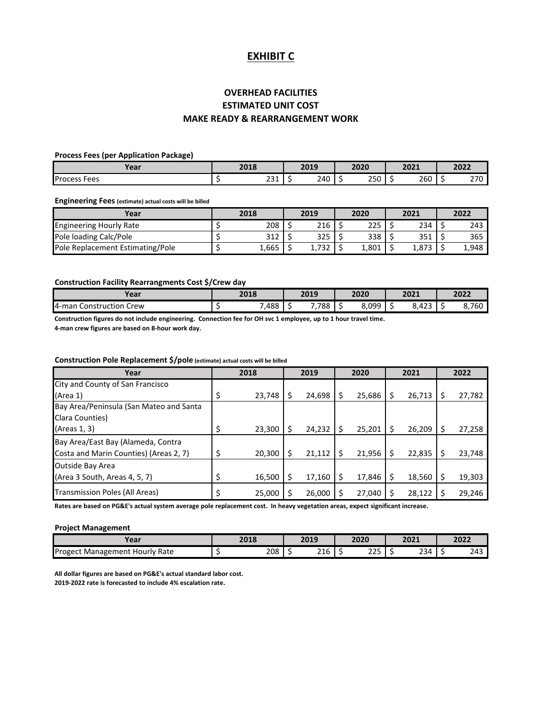### **EXHIBIT C**

## **MAKE READY & REARRANGEMENT WORK OVERHEAD FACILITIES ESTIMATED UNIT COST**

#### **Process Fees (per Application Package)**

| Voor<br>'Cal             | 2018 |           | 2019 | 2020<br>202V                     | 2021<br><b>LULI</b> | 2022               |
|--------------------------|------|-----------|------|----------------------------------|---------------------|--------------------|
| <b>Process I</b><br>Fees |      | 22<br>∠J⊥ | 240  | $\mathbf{a} = \mathbf{a}$<br>∠ລ∪ | 260                 | 270<br><u>_, _</u> |

#### **Engineering Fees (estimate) actual costs will be billed**

| Year                             | 2018  | 2019  | 2020  | 2021  | 2022  |
|----------------------------------|-------|-------|-------|-------|-------|
| <b>Engineering Hourly Rate</b>   | 208   | 216   | 225   | 234   | 243   |
| Pole loading Calc/Pole           | 312   | 325   | 338   | 351   | 365   |
| Pole Replacement Estimating/Pole | 1,665 | 1,732 | 1,801 | 1.873 | 1,948 |

#### **Construction Facility Rearrangments Cost \$/Crew day**

| Year                            | 2018  | 2019      | 2020                    | 2021                      |     | 2022  |
|---------------------------------|-------|-----------|-------------------------|---------------------------|-----|-------|
| 4-man<br>. Crew<br>Construction | 7,488 | ,788<br>- | 8.099<br>ິບ,ບ <i>ວບ</i> | $\sim$<br>$\sim$<br>8.423 | . . | 8,760 |

**Construction figures do not include engineering. Connection fee for OH svc 1 employee, up to 1 hour travel time.**

**4-man crew figures are based on 8-hour work day.**

#### **Construction Pole Replacement \$/pole (estimate) actual costs will be billed**

| Year                                    | 2018         | 2019   |   | 2020   |   | 2021   | 2022   |
|-----------------------------------------|--------------|--------|---|--------|---|--------|--------|
| City and County of San Francisco        |              |        |   |        |   |        |        |
| (Area 1)                                | \$<br>23,748 | 24,698 |   | 25,686 |   | 26,713 | 27,782 |
| Bay Area/Peninsula (San Mateo and Santa |              |        |   |        |   |        |        |
| Clara Counties)                         |              |        |   |        |   |        |        |
| (Areas 1, 3)                            | \$<br>23.300 | 24,232 | S | 25,201 | Ś | 26.209 | 27,258 |
| Bay Area/East Bay (Alameda, Contra      |              |        |   |        |   |        |        |
| Costa and Marin Counties) (Areas 2, 7)  | \$<br>20,300 | 21,112 | S | 21,956 |   | 22,835 | 23,748 |
| <b>Outside Bay Area</b>                 |              |        |   |        |   |        |        |
| (Area 3 South, Areas 4, 5, 7)           | \$<br>16,500 | 17,160 | Ś | 17,846 |   | 18,560 | 19,303 |
| Transmission Poles (All Areas)          | \$<br>25,000 | 26,000 |   | 27,040 |   | 28,122 | 29,246 |

**Rates are based on PG&E's actual system average pole replacement cost. In heavy vegetation areas, expect significant increase.**

#### **Project Management**

| Year                                  | 2018 | 2019 |   | 2020            | 2021 | 2022 |
|---------------------------------------|------|------|---|-----------------|------|------|
| <b>Progect Management Hourly Rate</b> | 208  | 216  | ۰ | $\cdots$<br>ـــ | 234  | 243  |

**All dollar figures are based on PG&E's actual standard labor cost. 2019-2022 rate is forecasted to include 4% escalation rate.**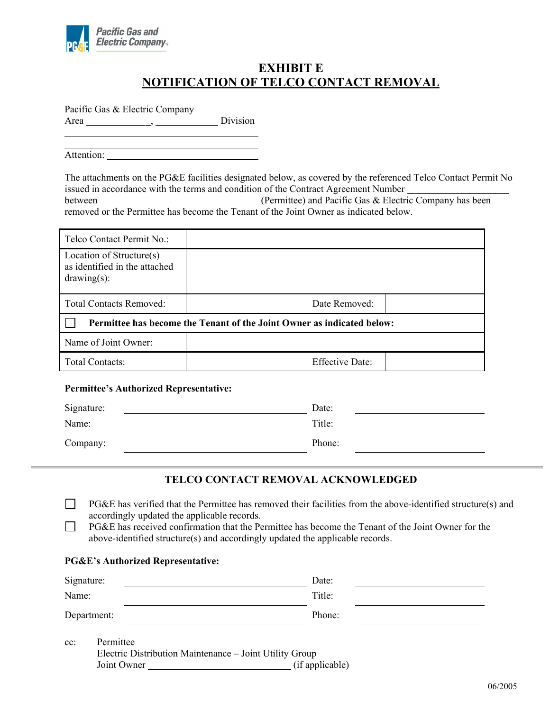

 $\overline{a}$  $\overline{a}$ 

## **EXHIBIT E NOTIFICATION OF TELCO CONTACT REMOVAL**

Pacific Gas & Electric Company Area , Division

Attention:

The attachments on the PG&E facilities designated below, as covered by the referenced Telco Contact Permit No issued in accordance with the terms and condition of the Contract Agreement Number between (Permittee) and Pacific Gas & Electric Company has been removed or the Permittee has become the Tenant of the Joint Owner as indicated below.

| Telco Contact Permit No.:                                                   |                                                                        |                        |  |
|-----------------------------------------------------------------------------|------------------------------------------------------------------------|------------------------|--|
| Location of Structure(s)<br>as identified in the attached<br>$drawing(s)$ : |                                                                        |                        |  |
| <b>Total Contacts Removed:</b>                                              |                                                                        | Date Removed:          |  |
|                                                                             | Permittee has become the Tenant of the Joint Owner as indicated below: |                        |  |
| Name of Joint Owner:                                                        |                                                                        |                        |  |
| <b>Total Contacts:</b>                                                      |                                                                        | <b>Effective Date:</b> |  |

#### **Permittee's Authorized Representative:**

| Signature: | Date:  |
|------------|--------|
| Name:      | Title: |
| Company:   | Phone: |

#### **TELCO CONTACT REMOVAL ACKNOWLEDGED**

- PG&E has verified that the Permittee has removed their facilities from the above-identified structure(s) and accordingly updated the applicable records.
- PG&E has received confirmation that the Permittee has become the Tenant of the Joint Owner for the above-identified structure(s) and accordingly updated the applicable records.

#### **PG&E's Authorized Representative:**

| Signature:                               | Date:  |
|------------------------------------------|--------|
| Name:                                    | Title: |
| Department:                              | Phone: |
| $Dormi\ddagger$<br>$\alpha$ <sup>*</sup> |        |

| т спшисе |                                                                        |
|----------|------------------------------------------------------------------------|
|          |                                                                        |
|          | (if applicable)                                                        |
|          | Electric Distribution Maintenance – Joint Utility Group<br>Joint Owner |